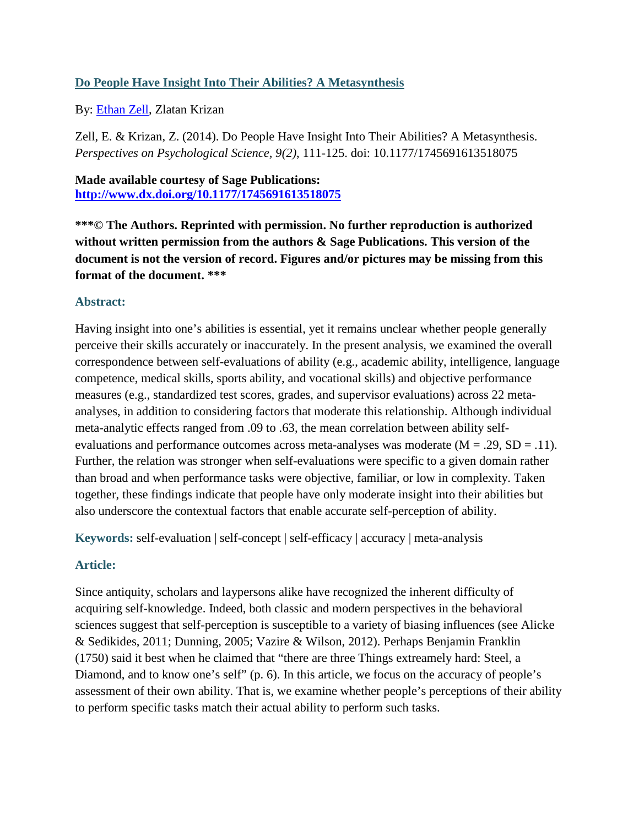# **Do People Have Insight Into Their Abilities? A Metasynthesis**

### By: [Ethan Zell,](http://libres.uncg.edu/ir/uncg/clist.aspx?id=4459) Zlatan Krizan

Zell, E. & Krizan, Z. (2014). Do People Have Insight Into Their Abilities? A Metasynthesis. *Perspectives on Psychological Science, 9(2)*, 111-125. doi: 10.1177/1745691613518075

### **Made available courtesy of Sage Publications: <http://www.dx.doi.org/10.1177/1745691613518075>**

**\*\*\*© The Authors. Reprinted with permission. No further reproduction is authorized without written permission from the authors & Sage Publications. This version of the document is not the version of record. Figures and/or pictures may be missing from this format of the document. \*\*\***

# **Abstract:**

Having insight into one's abilities is essential, yet it remains unclear whether people generally perceive their skills accurately or inaccurately. In the present analysis, we examined the overall correspondence between self-evaluations of ability (e.g., academic ability, intelligence, language competence, medical skills, sports ability, and vocational skills) and objective performance measures (e.g., standardized test scores, grades, and supervisor evaluations) across 22 metaanalyses, in addition to considering factors that moderate this relationship. Although individual meta-analytic effects ranged from .09 to .63, the mean correlation between ability selfevaluations and performance outcomes across meta-analyses was moderate  $(M = .29, SD = .11)$ . Further, the relation was stronger when self-evaluations were specific to a given domain rather than broad and when performance tasks were objective, familiar, or low in complexity. Taken together, these findings indicate that people have only moderate insight into their abilities but also underscore the contextual factors that enable accurate self-perception of ability.

**Keywords:** self-evaluation | self-concept | self-efficacy | accuracy | meta-analysis

# **Article:**

Since antiquity, scholars and laypersons alike have recognized the inherent difficulty of acquiring self-knowledge. Indeed, both classic and modern perspectives in the behavioral sciences suggest that self-perception is susceptible to a variety of biasing influences (see Alicke & Sedikides, 2011; Dunning, 2005; Vazire & Wilson, 2012). Perhaps Benjamin Franklin (1750) said it best when he claimed that "there are three Things extreamely hard: Steel, a Diamond, and to know one's self" (p. 6). In this article, we focus on the accuracy of people's assessment of their own ability. That is, we examine whether people's perceptions of their ability to perform specific tasks match their actual ability to perform such tasks.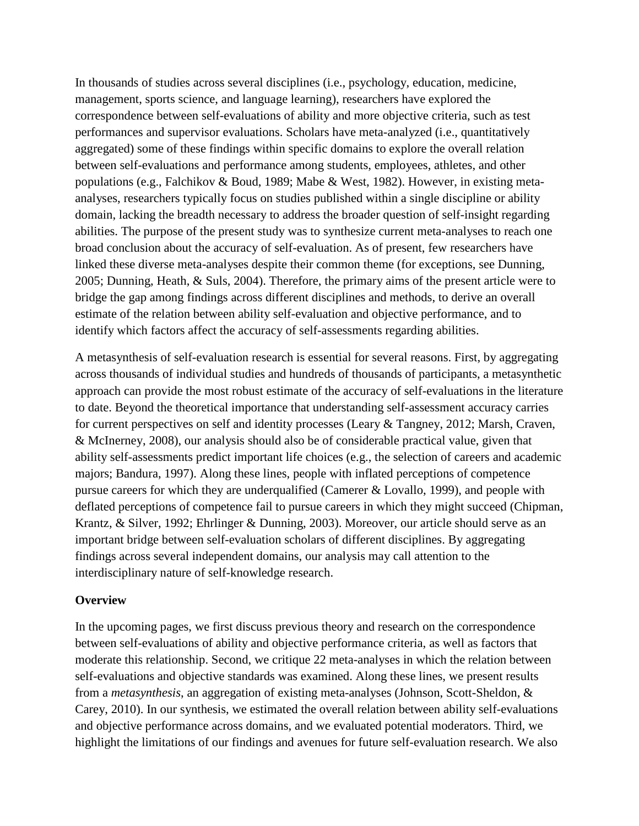In thousands of studies across several disciplines (i.e., psychology, education, medicine, management, sports science, and language learning), researchers have explored the correspondence between self-evaluations of ability and more objective criteria, such as test performances and supervisor evaluations. Scholars have meta-analyzed (i.e., quantitatively aggregated) some of these findings within specific domains to explore the overall relation between self-evaluations and performance among students, employees, athletes, and other populations (e.g., Falchikov & Boud, 1989; Mabe & West, 1982). However, in existing metaanalyses, researchers typically focus on studies published within a single discipline or ability domain, lacking the breadth necessary to address the broader question of self-insight regarding abilities. The purpose of the present study was to synthesize current meta-analyses to reach one broad conclusion about the accuracy of self-evaluation. As of present, few researchers have linked these diverse meta-analyses despite their common theme (for exceptions, see Dunning, 2005; Dunning, Heath, & Suls, 2004). Therefore, the primary aims of the present article were to bridge the gap among findings across different disciplines and methods, to derive an overall estimate of the relation between ability self-evaluation and objective performance, and to identify which factors affect the accuracy of self-assessments regarding abilities.

A metasynthesis of self-evaluation research is essential for several reasons. First, by aggregating across thousands of individual studies and hundreds of thousands of participants, a metasynthetic approach can provide the most robust estimate of the accuracy of self-evaluations in the literature to date. Beyond the theoretical importance that understanding self-assessment accuracy carries for current perspectives on self and identity processes (Leary & Tangney, 2012; Marsh, Craven, & McInerney, 2008), our analysis should also be of considerable practical value, given that ability self-assessments predict important life choices (e.g., the selection of careers and academic majors; Bandura, 1997). Along these lines, people with inflated perceptions of competence pursue careers for which they are underqualified (Camerer & Lovallo, 1999), and people with deflated perceptions of competence fail to pursue careers in which they might succeed (Chipman, Krantz, & Silver, 1992; Ehrlinger & Dunning, 2003). Moreover, our article should serve as an important bridge between self-evaluation scholars of different disciplines. By aggregating findings across several independent domains, our analysis may call attention to the interdisciplinary nature of self-knowledge research.

#### **Overview**

In the upcoming pages, we first discuss previous theory and research on the correspondence between self-evaluations of ability and objective performance criteria, as well as factors that moderate this relationship. Second, we critique 22 meta-analyses in which the relation between self-evaluations and objective standards was examined. Along these lines, we present results from a *metasynthesis*, an aggregation of existing meta-analyses (Johnson, Scott-Sheldon, & Carey, 2010). In our synthesis, we estimated the overall relation between ability self-evaluations and objective performance across domains, and we evaluated potential moderators. Third, we highlight the limitations of our findings and avenues for future self-evaluation research. We also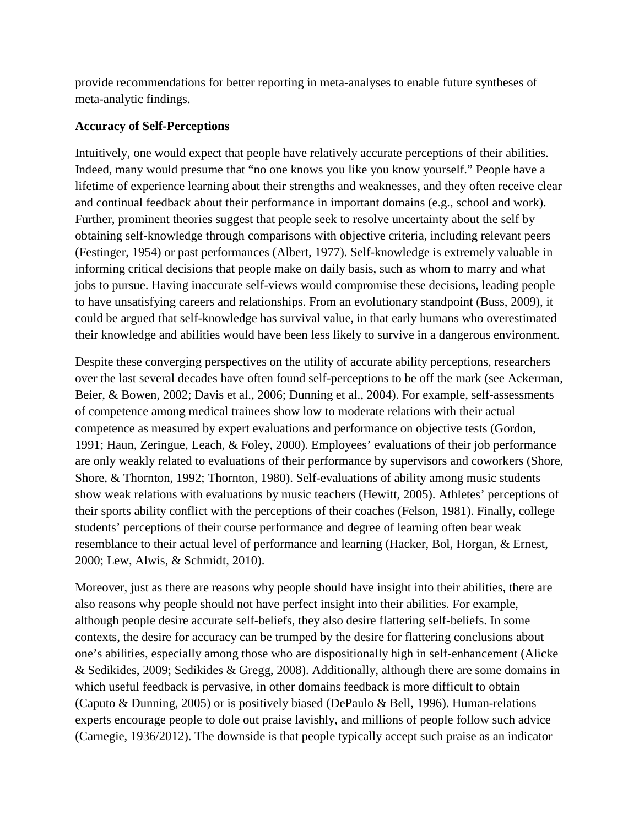provide recommendations for better reporting in meta-analyses to enable future syntheses of meta-analytic findings.

#### **Accuracy of Self-Perceptions**

Intuitively, one would expect that people have relatively accurate perceptions of their abilities. Indeed, many would presume that "no one knows you like you know yourself." People have a lifetime of experience learning about their strengths and weaknesses, and they often receive clear and continual feedback about their performance in important domains (e.g., school and work). Further, prominent theories suggest that people seek to resolve uncertainty about the self by obtaining self-knowledge through comparisons with objective criteria, including relevant peers (Festinger, 1954) or past performances (Albert, 1977). Self-knowledge is extremely valuable in informing critical decisions that people make on daily basis, such as whom to marry and what jobs to pursue. Having inaccurate self-views would compromise these decisions, leading people to have unsatisfying careers and relationships. From an evolutionary standpoint (Buss, 2009), it could be argued that self-knowledge has survival value, in that early humans who overestimated their knowledge and abilities would have been less likely to survive in a dangerous environment.

Despite these converging perspectives on the utility of accurate ability perceptions, researchers over the last several decades have often found self-perceptions to be off the mark (see Ackerman, Beier, & Bowen, 2002; Davis et al., 2006; Dunning et al., 2004). For example, self-assessments of competence among medical trainees show low to moderate relations with their actual competence as measured by expert evaluations and performance on objective tests (Gordon, 1991; Haun, Zeringue, Leach, & Foley, 2000). Employees' evaluations of their job performance are only weakly related to evaluations of their performance by supervisors and coworkers (Shore, Shore, & Thornton, 1992; Thornton, 1980). Self-evaluations of ability among music students show weak relations with evaluations by music teachers (Hewitt, 2005). Athletes' perceptions of their sports ability conflict with the perceptions of their coaches (Felson, 1981). Finally, college students' perceptions of their course performance and degree of learning often bear weak resemblance to their actual level of performance and learning (Hacker, Bol, Horgan, & Ernest, 2000; Lew, Alwis, & Schmidt, 2010).

Moreover, just as there are reasons why people should have insight into their abilities, there are also reasons why people should not have perfect insight into their abilities. For example, although people desire accurate self-beliefs, they also desire flattering self-beliefs. In some contexts, the desire for accuracy can be trumped by the desire for flattering conclusions about one's abilities, especially among those who are dispositionally high in self-enhancement (Alicke & Sedikides, 2009; Sedikides & Gregg, 2008). Additionally, although there are some domains in which useful feedback is pervasive, in other domains feedback is more difficult to obtain (Caputo & Dunning, 2005) or is positively biased (DePaulo & Bell, 1996). Human-relations experts encourage people to dole out praise lavishly, and millions of people follow such advice (Carnegie, 1936/2012). The downside is that people typically accept such praise as an indicator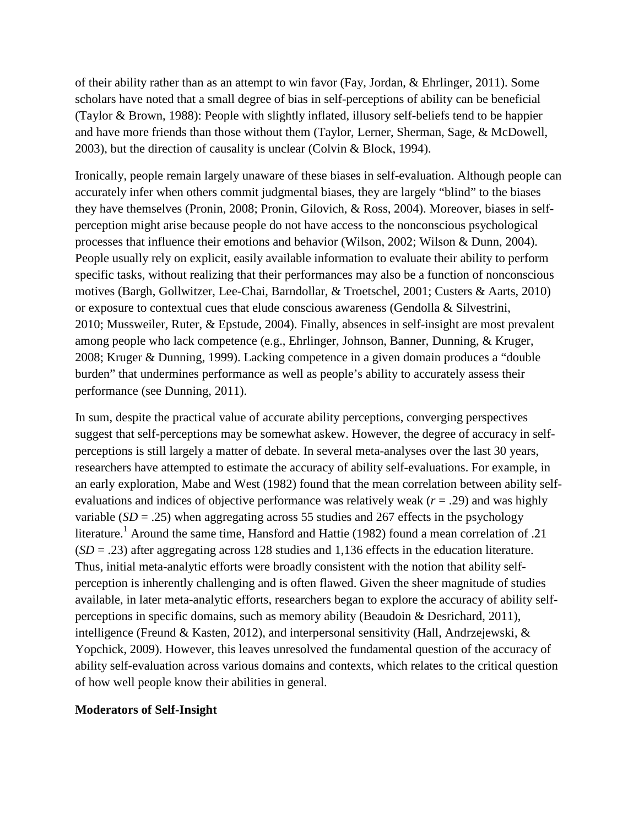of their ability rather than as an attempt to win favor (Fay, Jordan, & Ehrlinger, 2011). Some scholars have noted that a small degree of bias in self-perceptions of ability can be beneficial (Taylor & Brown, 1988): People with slightly inflated, illusory self-beliefs tend to be happier and have more friends than those without them (Taylor, Lerner, Sherman, Sage, & McDowell, 2003), but the direction of causality is unclear (Colvin & Block, 1994).

Ironically, people remain largely unaware of these biases in self-evaluation. Although people can accurately infer when others commit judgmental biases, they are largely "blind" to the biases they have themselves (Pronin, 2008; Pronin, Gilovich, & Ross, 2004). Moreover, biases in selfperception might arise because people do not have access to the nonconscious psychological processes that influence their emotions and behavior (Wilson, 2002; Wilson & Dunn, 2004). People usually rely on explicit, easily available information to evaluate their ability to perform specific tasks, without realizing that their performances may also be a function of nonconscious motives (Bargh, Gollwitzer, Lee-Chai, Barndollar, & Troetschel, 2001; Custers & Aarts, 2010) or exposure to contextual cues that elude conscious awareness (Gendolla & Silvestrini, 2010; Mussweiler, Ruter, & Epstude, 2004). Finally, absences in self-insight are most prevalent among people who lack competence (e.g., Ehrlinger, Johnson, Banner, Dunning, & Kruger, 2008; Kruger & Dunning, 1999). Lacking competence in a given domain produces a "double burden" that undermines performance as well as people's ability to accurately assess their performance (see Dunning, 2011).

In sum, despite the practical value of accurate ability perceptions, converging perspectives suggest that self-perceptions may be somewhat askew. However, the degree of accuracy in selfperceptions is still largely a matter of debate. In several meta-analyses over the last 30 years, researchers have attempted to estimate the accuracy of ability self-evaluations. For example, in an early exploration, Mabe and West (1982) found that the mean correlation between ability selfevaluations and indices of objective performance was relatively weak  $(r = .29)$  and was highly variable  $(SD = .25)$  when aggregating across 55 studies and 267 effects in the psychology literature.<sup>1</sup> Around the same time, Hansford and Hattie (1982) found a mean correlation of .21 (*SD* = .23) after aggregating across 128 studies and 1,136 effects in the education literature. Thus, initial meta-analytic efforts were broadly consistent with the notion that ability selfperception is inherently challenging and is often flawed. Given the sheer magnitude of studies available, in later meta-analytic efforts, researchers began to explore the accuracy of ability selfperceptions in specific domains, such as memory ability (Beaudoin & Desrichard, 2011), intelligence (Freund & Kasten, 2012), and interpersonal sensitivity (Hall, Andrzejewski, & Yopchick, 2009). However, this leaves unresolved the fundamental question of the accuracy of ability self-evaluation across various domains and contexts, which relates to the critical question of how well people know their abilities in general.

#### **Moderators of Self-Insight**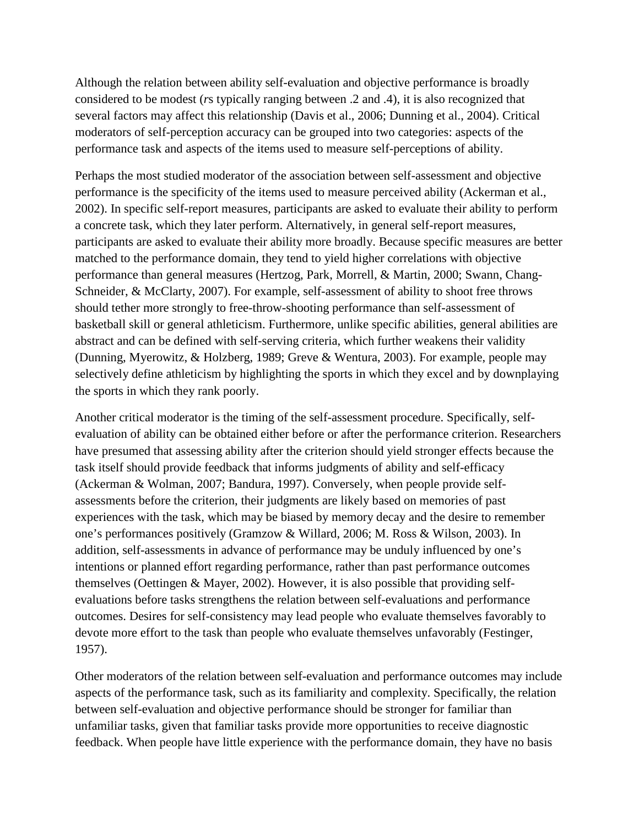Although the relation between ability self-evaluation and objective performance is broadly considered to be modest (*r*s typically ranging between .2 and .4), it is also recognized that several factors may affect this relationship (Davis et al., 2006; Dunning et al., 2004). Critical moderators of self-perception accuracy can be grouped into two categories: aspects of the performance task and aspects of the items used to measure self-perceptions of ability.

Perhaps the most studied moderator of the association between self-assessment and objective performance is the specificity of the items used to measure perceived ability (Ackerman et al., 2002). In specific self-report measures, participants are asked to evaluate their ability to perform a concrete task, which they later perform. Alternatively, in general self-report measures, participants are asked to evaluate their ability more broadly. Because specific measures are better matched to the performance domain, they tend to yield higher correlations with objective performance than general measures (Hertzog, Park, Morrell, & Martin, 2000; Swann, Chang-Schneider, & McClarty, 2007). For example, self-assessment of ability to shoot free throws should tether more strongly to free-throw-shooting performance than self-assessment of basketball skill or general athleticism. Furthermore, unlike specific abilities, general abilities are abstract and can be defined with self-serving criteria, which further weakens their validity (Dunning, Myerowitz, & Holzberg, 1989; Greve & Wentura, 2003). For example, people may selectively define athleticism by highlighting the sports in which they excel and by downplaying the sports in which they rank poorly.

Another critical moderator is the timing of the self-assessment procedure. Specifically, selfevaluation of ability can be obtained either before or after the performance criterion. Researchers have presumed that assessing ability after the criterion should yield stronger effects because the task itself should provide feedback that informs judgments of ability and self-efficacy (Ackerman & Wolman, 2007; Bandura, 1997). Conversely, when people provide selfassessments before the criterion, their judgments are likely based on memories of past experiences with the task, which may be biased by memory decay and the desire to remember one's performances positively (Gramzow & Willard, 2006; M. Ross & Wilson, 2003). In addition, self-assessments in advance of performance may be unduly influenced by one's intentions or planned effort regarding performance, rather than past performance outcomes themselves (Oettingen & Mayer, 2002). However, it is also possible that providing selfevaluations before tasks strengthens the relation between self-evaluations and performance outcomes. Desires for self-consistency may lead people who evaluate themselves favorably to devote more effort to the task than people who evaluate themselves unfavorably (Festinger, 1957).

Other moderators of the relation between self-evaluation and performance outcomes may include aspects of the performance task, such as its familiarity and complexity. Specifically, the relation between self-evaluation and objective performance should be stronger for familiar than unfamiliar tasks, given that familiar tasks provide more opportunities to receive diagnostic feedback. When people have little experience with the performance domain, they have no basis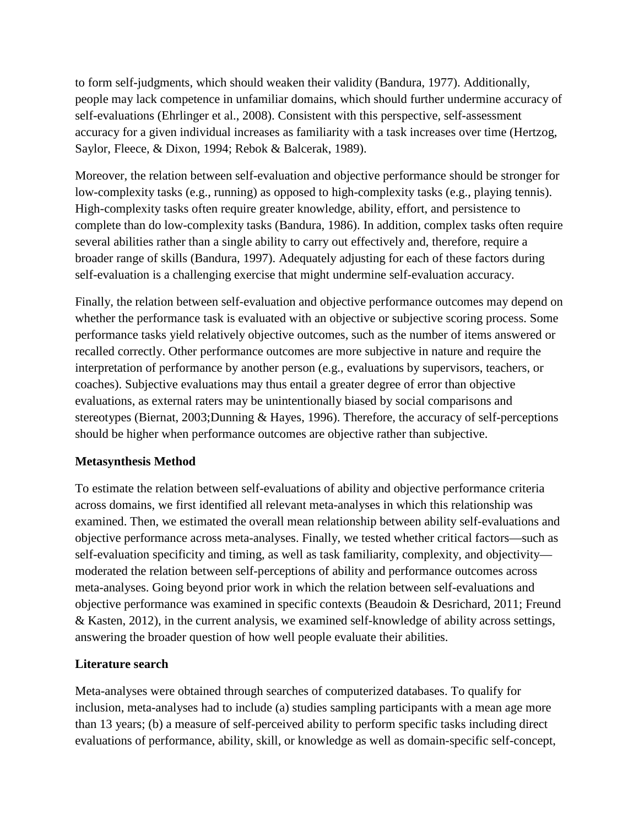to form self-judgments, which should weaken their validity (Bandura, 1977). Additionally, people may lack competence in unfamiliar domains, which should further undermine accuracy of self-evaluations (Ehrlinger et al., 2008). Consistent with this perspective, self-assessment accuracy for a given individual increases as familiarity with a task increases over time (Hertzog, Saylor, Fleece, & Dixon, 1994; Rebok & Balcerak, 1989).

Moreover, the relation between self-evaluation and objective performance should be stronger for low-complexity tasks (e.g., running) as opposed to high-complexity tasks (e.g., playing tennis). High-complexity tasks often require greater knowledge, ability, effort, and persistence to complete than do low-complexity tasks (Bandura, 1986). In addition, complex tasks often require several abilities rather than a single ability to carry out effectively and, therefore, require a broader range of skills (Bandura, 1997). Adequately adjusting for each of these factors during self-evaluation is a challenging exercise that might undermine self-evaluation accuracy.

Finally, the relation between self-evaluation and objective performance outcomes may depend on whether the performance task is evaluated with an objective or subjective scoring process. Some performance tasks yield relatively objective outcomes, such as the number of items answered or recalled correctly. Other performance outcomes are more subjective in nature and require the interpretation of performance by another person (e.g., evaluations by supervisors, teachers, or coaches). Subjective evaluations may thus entail a greater degree of error than objective evaluations, as external raters may be unintentionally biased by social comparisons and stereotypes (Biernat, 2003;Dunning & Hayes, 1996). Therefore, the accuracy of self-perceptions should be higher when performance outcomes are objective rather than subjective.

### **Metasynthesis Method**

To estimate the relation between self-evaluations of ability and objective performance criteria across domains, we first identified all relevant meta-analyses in which this relationship was examined. Then, we estimated the overall mean relationship between ability self-evaluations and objective performance across meta-analyses. Finally, we tested whether critical factors—such as self-evaluation specificity and timing, as well as task familiarity, complexity, and objectivity moderated the relation between self-perceptions of ability and performance outcomes across meta-analyses. Going beyond prior work in which the relation between self-evaluations and objective performance was examined in specific contexts (Beaudoin & Desrichard, 2011; Freund & Kasten, 2012), in the current analysis, we examined self-knowledge of ability across settings, answering the broader question of how well people evaluate their abilities.

# **Literature search**

Meta-analyses were obtained through searches of computerized databases. To qualify for inclusion, meta-analyses had to include (a) studies sampling participants with a mean age more than 13 years; (b) a measure of self-perceived ability to perform specific tasks including direct evaluations of performance, ability, skill, or knowledge as well as domain-specific self-concept,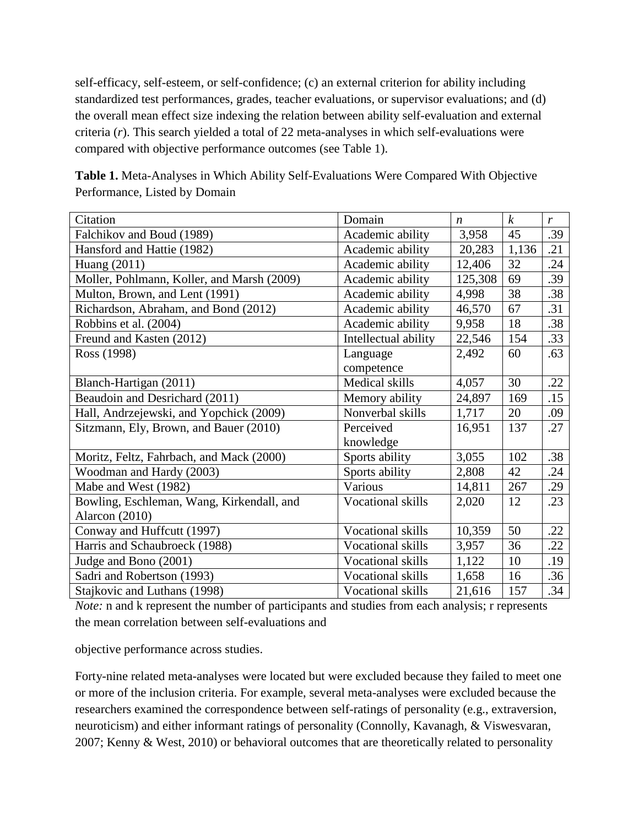self-efficacy, self-esteem, or self-confidence; (c) an external criterion for ability including standardized test performances, grades, teacher evaluations, or supervisor evaluations; and (d) the overall mean effect size indexing the relation between ability self-evaluation and external criteria (*r*). This search yielded a total of 22 meta-analyses in which self-evaluations were compared with objective performance outcomes (see Table 1).

| Citation                                   | Domain               | $\boldsymbol{n}$ | $\boldsymbol{k}$ | r   |
|--------------------------------------------|----------------------|------------------|------------------|-----|
| Falchikov and Boud (1989)                  | Academic ability     | 3,958            | 45               | .39 |
| Hansford and Hattie (1982)                 | Academic ability     | 20,283           | 1,136            | .21 |
| Huang (2011)                               | Academic ability     | 12,406           | 32               | .24 |
| Moller, Pohlmann, Koller, and Marsh (2009) | Academic ability     | 125,308          | 69               | .39 |
| Multon, Brown, and Lent (1991)             | Academic ability     | 4,998            | 38               | .38 |
| Richardson, Abraham, and Bond (2012)       | Academic ability     | 46,570           | 67               | .31 |
| Robbins et al. (2004)                      | Academic ability     | 9,958            | 18               | .38 |
| Freund and Kasten (2012)                   | Intellectual ability | 22,546           | 154              | .33 |
| Ross (1998)                                | Language             | 2,492            | 60               | .63 |
|                                            | competence           |                  |                  |     |
| Blanch-Hartigan (2011)                     | Medical skills       | 4,057            | 30               | .22 |
| Beaudoin and Desrichard (2011)             | Memory ability       | 24,897           | 169              | .15 |
| Hall, Andrzejewski, and Yopchick (2009)    | Nonverbal skills     | 1,717            | 20               | .09 |
| Sitzmann, Ely, Brown, and Bauer (2010)     | Perceived            | 16,951           | 137              | .27 |
|                                            | knowledge            |                  |                  |     |
| Moritz, Feltz, Fahrbach, and Mack (2000)   | Sports ability       | 3,055            | 102              | .38 |
| Woodman and Hardy (2003)                   | Sports ability       | 2,808            | 42               | .24 |
| Mabe and West (1982)                       | Various              | 14,811           | 267              | .29 |
| Bowling, Eschleman, Wang, Kirkendall, and  | Vocational skills    | 2,020            | 12               | .23 |
| Alarcon (2010)                             |                      |                  |                  |     |
| Conway and Huffcutt (1997)                 | Vocational skills    | 10,359           | 50               | .22 |
| Harris and Schaubroeck (1988)              | Vocational skills    | 3,957            | 36               | .22 |
| Judge and Bono (2001)                      | Vocational skills    | 1,122            | 10               | .19 |
| Sadri and Robertson (1993)                 | Vocational skills    | 1,658            | 16               | .36 |
| Stajkovic and Luthans (1998)               | Vocational skills    | 21,616           | 157              | .34 |

**Table 1.** Meta-Analyses in Which Ability Self-Evaluations Were Compared With Objective Performance, Listed by Domain

*Note:* n and k represent the number of participants and studies from each analysis; r represents the mean correlation between self-evaluations and

objective performance across studies.

Forty-nine related meta-analyses were located but were excluded because they failed to meet one or more of the inclusion criteria. For example, several meta-analyses were excluded because the researchers examined the correspondence between self-ratings of personality (e.g., extraversion, neuroticism) and either informant ratings of personality (Connolly, Kavanagh, & Viswesvaran, 2007; Kenny & West, 2010) or behavioral outcomes that are theoretically related to personality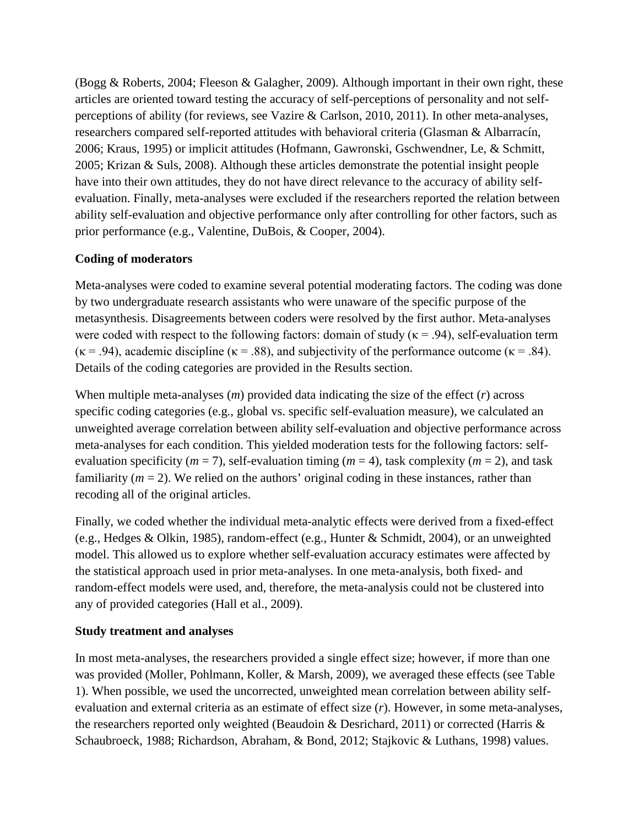(Bogg & Roberts, 2004; Fleeson & Galagher, 2009). Although important in their own right, these articles are oriented toward testing the accuracy of self-perceptions of personality and not selfperceptions of ability (for reviews, see Vazire & Carlson, 2010, 2011). In other meta-analyses, researchers compared self-reported attitudes with behavioral criteria (Glasman & Albarracín, 2006; Kraus, 1995) or implicit attitudes (Hofmann, Gawronski, Gschwendner, Le, & Schmitt, 2005; Krizan & Suls, 2008). Although these articles demonstrate the potential insight people have into their own attitudes, they do not have direct relevance to the accuracy of ability selfevaluation. Finally, meta-analyses were excluded if the researchers reported the relation between ability self-evaluation and objective performance only after controlling for other factors, such as prior performance (e.g., Valentine, DuBois, & Cooper, 2004).

### **Coding of moderators**

Meta-analyses were coded to examine several potential moderating factors. The coding was done by two undergraduate research assistants who were unaware of the specific purpose of the metasynthesis. Disagreements between coders were resolved by the first author. Meta-analyses were coded with respect to the following factors: domain of study ( $\kappa$  = .94), self-evaluation term ( $\kappa$  = .94), academic discipline ( $\kappa$  = .88), and subjectivity of the performance outcome ( $\kappa$  = .84). Details of the coding categories are provided in the Results section.

When multiple meta-analyses (*m*) provided data indicating the size of the effect (*r*) across specific coding categories (e.g., global vs. specific self-evaluation measure), we calculated an unweighted average correlation between ability self-evaluation and objective performance across meta-analyses for each condition. This yielded moderation tests for the following factors: selfevaluation specificity ( $m = 7$ ), self-evaluation timing ( $m = 4$ ), task complexity ( $m = 2$ ), and task familiarity  $(m = 2)$ . We relied on the authors' original coding in these instances, rather than recoding all of the original articles.

Finally, we coded whether the individual meta-analytic effects were derived from a fixed-effect (e.g., Hedges & Olkin, 1985), random-effect (e.g., Hunter & Schmidt, 2004), or an unweighted model. This allowed us to explore whether self-evaluation accuracy estimates were affected by the statistical approach used in prior meta-analyses. In one meta-analysis, both fixed- and random-effect models were used, and, therefore, the meta-analysis could not be clustered into any of provided categories (Hall et al., 2009).

#### **Study treatment and analyses**

In most meta-analyses, the researchers provided a single effect size; however, if more than one was provided (Moller, Pohlmann, Koller, & Marsh, 2009), we averaged these effects (see Table 1). When possible, we used the uncorrected, unweighted mean correlation between ability selfevaluation and external criteria as an estimate of effect size (*r*). However, in some meta-analyses, the researchers reported only weighted (Beaudoin & Desrichard, 2011) or corrected (Harris & Schaubroeck, 1988; Richardson, Abraham, & Bond, 2012; Stajkovic & Luthans, 1998) values.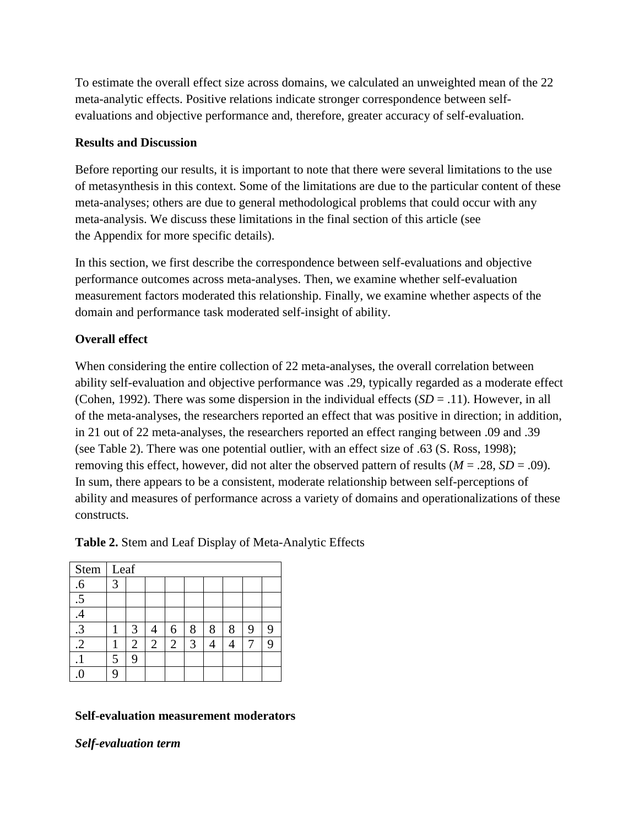To estimate the overall effect size across domains, we calculated an unweighted mean of the 22 meta-analytic effects. Positive relations indicate stronger correspondence between selfevaluations and objective performance and, therefore, greater accuracy of self-evaluation.

### **Results and Discussion**

Before reporting our results, it is important to note that there were several limitations to the use of metasynthesis in this context. Some of the limitations are due to the particular content of these meta-analyses; others are due to general methodological problems that could occur with any meta-analysis. We discuss these limitations in the final section of this article (see the Appendix for more specific details).

In this section, we first describe the correspondence between self-evaluations and objective performance outcomes across meta-analyses. Then, we examine whether self-evaluation measurement factors moderated this relationship. Finally, we examine whether aspects of the domain and performance task moderated self-insight of ability.

# **Overall effect**

When considering the entire collection of 22 meta-analyses, the overall correlation between ability self-evaluation and objective performance was .29, typically regarded as a moderate effect (Cohen, 1992). There was some dispersion in the individual effects (*SD* = .11). However, in all of the meta-analyses, the researchers reported an effect that was positive in direction; in addition, in 21 out of 22 meta-analyses, the researchers reported an effect ranging between .09 and .39 (see Table 2). There was one potential outlier, with an effect size of .63 (S. Ross, 1998); removing this effect, however, did not alter the observed pattern of results ( $M = .28$ ,  $SD = .09$ ). In sum, there appears to be a consistent, moderate relationship between self-perceptions of ability and measures of performance across a variety of domains and operationalizations of these constructs.

| Stem Leaf |   |                |                |                |   |   |   |  |
|-----------|---|----------------|----------------|----------------|---|---|---|--|
| .6        | 3 |                |                |                |   |   |   |  |
| .5        |   |                |                |                |   |   |   |  |
|           |   |                |                |                |   |   |   |  |
| $\cdot$ 3 |   | 3              |                | 6              | 8 | 8 | 8 |  |
|           |   | $\overline{2}$ | $\overline{2}$ | $\overline{2}$ | 3 |   |   |  |
|           | 5 | 9              |                |                |   |   |   |  |
|           |   |                |                |                |   |   |   |  |

**Table 2.** Stem and Leaf Display of Meta-Analytic Effects

### **Self-evaluation measurement moderators**

*Self-evaluation term*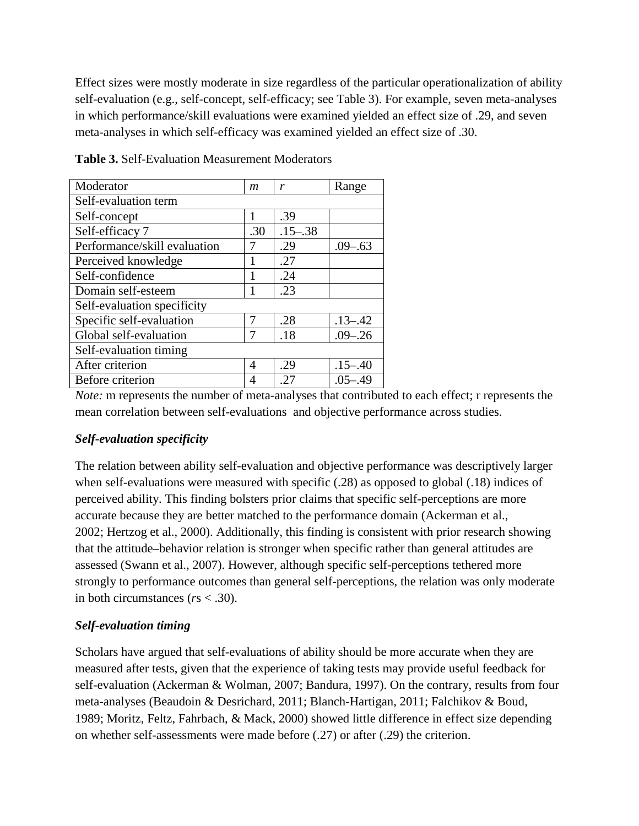Effect sizes were mostly moderate in size regardless of the particular operationalization of ability self-evaluation (e.g., self-concept, self-efficacy; see Table 3). For example, seven meta-analyses in which performance/skill evaluations were examined yielded an effect size of .29, and seven meta-analyses in which self-efficacy was examined yielded an effect size of .30.

| Moderator                    | m   | r           | Range       |
|------------------------------|-----|-------------|-------------|
| Self-evaluation term         |     |             |             |
| Self-concept                 | 1   | .39         |             |
| Self-efficacy 7              | .30 | $.15 - .38$ |             |
| Performance/skill evaluation | 7   | .29         | $.09 - .63$ |
| Perceived knowledge          |     | .27         |             |
| Self-confidence              |     | .24         |             |
| Domain self-esteem           |     | .23         |             |
| Self-evaluation specificity  |     |             |             |
| Specific self-evaluation     | 7   | .28         | $.13 - .42$ |
| Global self-evaluation       | 7   | .18         | $.09 - .26$ |
| Self-evaluation timing       |     |             |             |
| After criterion              | 4   | .29         | $.15 - .40$ |
| <b>Before criterion</b>      | 4   | 27          | $.05 - .49$ |

**Table 3.** Self-Evaluation Measurement Moderators

*Note:* m represents the number of meta-analyses that contributed to each effect; r represents the mean correlation between self-evaluations and objective performance across studies.

### *Self-evaluation specificity*

The relation between ability self-evaluation and objective performance was descriptively larger when self-evaluations were measured with specific (.28) as opposed to global (.18) indices of perceived ability. This finding bolsters prior claims that specific self-perceptions are more accurate because they are better matched to the performance domain (Ackerman et al., 2002; Hertzog et al., 2000). Additionally, this finding is consistent with prior research showing that the attitude–behavior relation is stronger when specific rather than general attitudes are assessed (Swann et al., 2007). However, although specific self-perceptions tethered more strongly to performance outcomes than general self-perceptions, the relation was only moderate in both circumstances  $(rs < .30)$ .

### *Self-evaluation timing*

Scholars have argued that self-evaluations of ability should be more accurate when they are measured after tests, given that the experience of taking tests may provide useful feedback for self-evaluation (Ackerman & Wolman, 2007; Bandura, 1997). On the contrary, results from four meta-analyses (Beaudoin & Desrichard, 2011; Blanch-Hartigan, 2011; Falchikov & Boud, 1989; Moritz, Feltz, Fahrbach, & Mack, 2000) showed little difference in effect size depending on whether self-assessments were made before (.27) or after (.29) the criterion.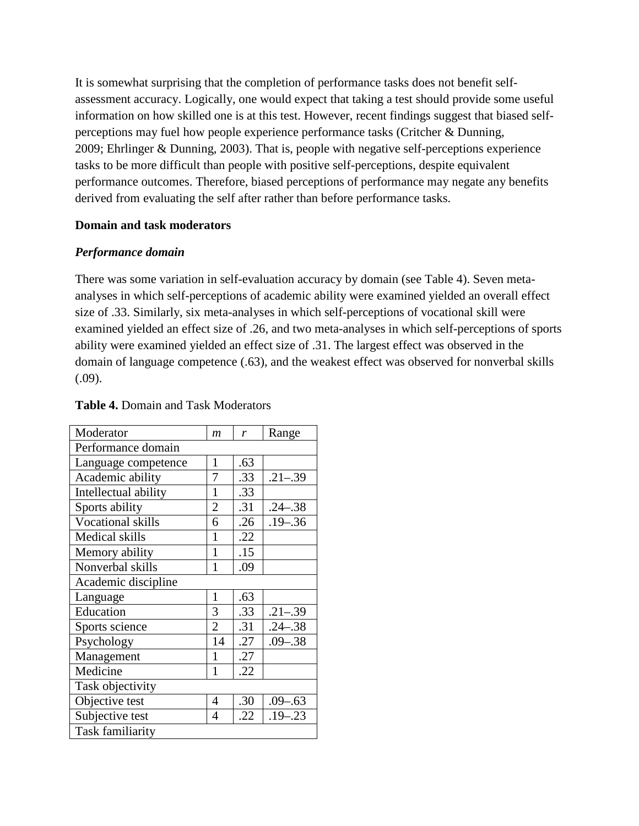It is somewhat surprising that the completion of performance tasks does not benefit selfassessment accuracy. Logically, one would expect that taking a test should provide some useful information on how skilled one is at this test. However, recent findings suggest that biased selfperceptions may fuel how people experience performance tasks (Critcher & Dunning, 2009; Ehrlinger & Dunning, 2003). That is, people with negative self-perceptions experience tasks to be more difficult than people with positive self-perceptions, despite equivalent performance outcomes. Therefore, biased perceptions of performance may negate any benefits derived from evaluating the self after rather than before performance tasks.

#### **Domain and task moderators**

#### *Performance domain*

There was some variation in self-evaluation accuracy by domain (see Table 4). Seven metaanalyses in which self-perceptions of academic ability were examined yielded an overall effect size of .33. Similarly, six meta-analyses in which self-perceptions of vocational skill were examined yielded an effect size of .26, and two meta-analyses in which self-perceptions of sports ability were examined yielded an effect size of .31. The largest effect was observed in the domain of language competence (.63), and the weakest effect was observed for nonverbal skills (.09).

| Moderator                | $\boldsymbol{m}$ | r   | Range       |  |  |
|--------------------------|------------------|-----|-------------|--|--|
| Performance domain       |                  |     |             |  |  |
| Language competence      | $\mathbf{1}$     | .63 |             |  |  |
| Academic ability         | 7                | .33 | $.21 - .39$ |  |  |
| Intellectual ability     | 1                | .33 |             |  |  |
| Sports ability           | $\overline{2}$   | .31 | $.24 - .38$ |  |  |
| <b>Vocational skills</b> | 6                | .26 | $.19 - .36$ |  |  |
| Medical skills           | 1                | .22 |             |  |  |
| Memory ability           | $\mathbf{1}$     | .15 |             |  |  |
| Nonverbal skills         | 1                | .09 |             |  |  |
| Academic discipline      |                  |     |             |  |  |
| Language                 | 1                | .63 |             |  |  |
| Education                | 3                | .33 | $.21 - .39$ |  |  |
| Sports science           | $\overline{2}$   | .31 | $.24 - .38$ |  |  |
| Psychology               | 14               | .27 | $.09 - .38$ |  |  |
| Management               | 1                | .27 |             |  |  |
| Medicine                 | 1                | .22 |             |  |  |
| Task objectivity         |                  |     |             |  |  |
| Objective test           | 4                | .30 | $.09 - .63$ |  |  |
| Subjective test          | 4                | .22 | $.19 - .23$ |  |  |
| Task familiarity         |                  |     |             |  |  |

#### **Table 4.** Domain and Task Moderators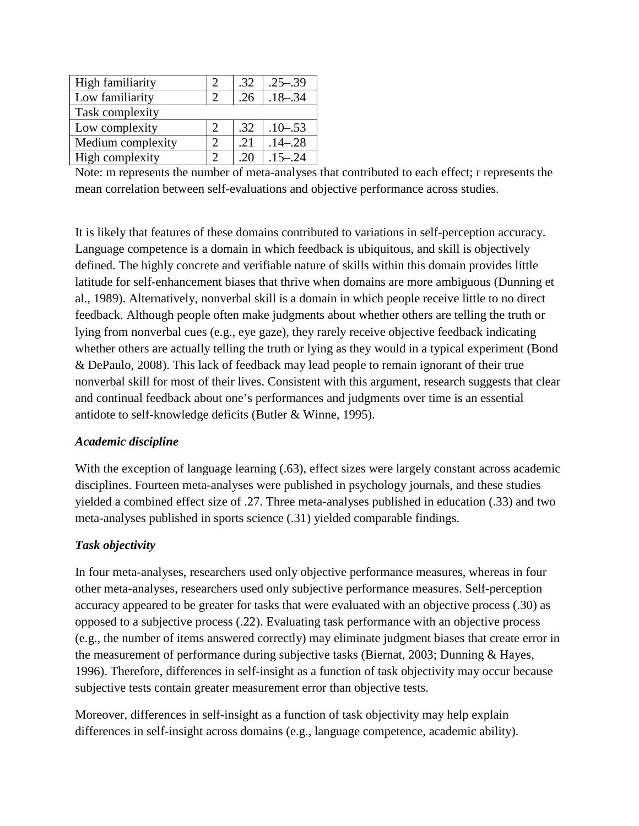| High familiarity  | 2 | .32 | $.25 - .39$ |
|-------------------|---|-----|-------------|
| Low familiarity   | 2 | .26 | $.18 - .34$ |
| Task complexity   |   |     |             |
| Low complexity    | 2 | .32 | $.10 - .53$ |
| Medium complexity | 2 | .21 | $.14 - .28$ |
| High complexity   | っ | .20 | $.15 - .24$ |

Note: m represents the number of meta-analyses that contributed to each effect; r represents the mean correlation between self-evaluations and objective performance across studies.

It is likely that features of these domains contributed to variations in self-perception accuracy. Language competence is a domain in which feedback is ubiquitous, and skill is objectively defined. The highly concrete and verifiable nature of skills within this domain provides little latitude for self-enhancement biases that thrive when domains are more ambiguous (Dunning et al., 1989). Alternatively, nonverbal skill is a domain in which people receive little to no direct feedback. Although people often make judgments about whether others are telling the truth or lying from nonverbal cues (e.g., eye gaze), they rarely receive objective feedback indicating whether others are actually telling the truth or lying as they would in a typical experiment (Bond & DePaulo, 2008). This lack of feedback may lead people to remain ignorant of their true nonverbal skill for most of their lives. Consistent with this argument, research suggests that clear and continual feedback about one's performances and judgments over time is an essential antidote to self-knowledge deficits (Butler & Winne, 1995).

### *Academic discipline*

With the exception of language learning  $(.63)$ , effect sizes were largely constant across academic disciplines. Fourteen meta-analyses were published in psychology journals, and these studies yielded a combined effect size of .27. Three meta-analyses published in education (.33) and two meta-analyses published in sports science (.31) yielded comparable findings.

### *Task objectivity*

In four meta-analyses, researchers used only objective performance measures, whereas in four other meta-analyses, researchers used only subjective performance measures. Self-perception accuracy appeared to be greater for tasks that were evaluated with an objective process (.30) as opposed to a subjective process (.22). Evaluating task performance with an objective process (e.g., the number of items answered correctly) may eliminate judgment biases that create error in the measurement of performance during subjective tasks (Biernat, 2003; Dunning & Hayes, 1996). Therefore, differences in self-insight as a function of task objectivity may occur because subjective tests contain greater measurement error than objective tests.

Moreover, differences in self-insight as a function of task objectivity may help explain differences in self-insight across domains (e.g., language competence, academic ability).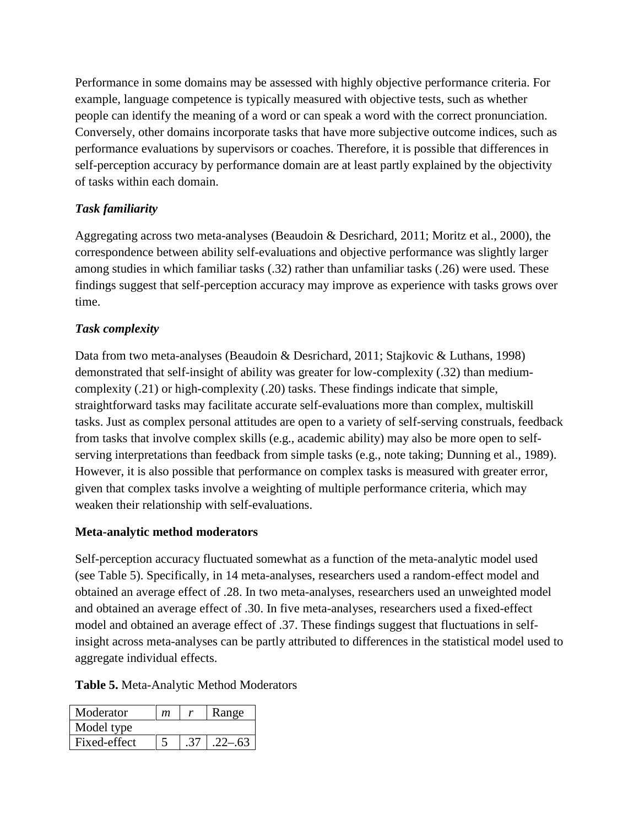Performance in some domains may be assessed with highly objective performance criteria. For example, language competence is typically measured with objective tests, such as whether people can identify the meaning of a word or can speak a word with the correct pronunciation. Conversely, other domains incorporate tasks that have more subjective outcome indices, such as performance evaluations by supervisors or coaches. Therefore, it is possible that differences in self-perception accuracy by performance domain are at least partly explained by the objectivity of tasks within each domain.

# *Task familiarity*

Aggregating across two meta-analyses (Beaudoin & Desrichard, 2011; Moritz et al., 2000), the correspondence between ability self-evaluations and objective performance was slightly larger among studies in which familiar tasks (.32) rather than unfamiliar tasks (.26) were used. These findings suggest that self-perception accuracy may improve as experience with tasks grows over time.

# *Task complexity*

Data from two meta-analyses (Beaudoin & Desrichard, 2011; Stajkovic & Luthans, 1998) demonstrated that self-insight of ability was greater for low-complexity (.32) than mediumcomplexity (.21) or high-complexity (.20) tasks. These findings indicate that simple, straightforward tasks may facilitate accurate self-evaluations more than complex, multiskill tasks. Just as complex personal attitudes are open to a variety of self-serving construals, feedback from tasks that involve complex skills (e.g., academic ability) may also be more open to selfserving interpretations than feedback from simple tasks (e.g., note taking; Dunning et al., 1989). However, it is also possible that performance on complex tasks is measured with greater error, given that complex tasks involve a weighting of multiple performance criteria, which may weaken their relationship with self-evaluations.

# **Meta-analytic method moderators**

Self-perception accuracy fluctuated somewhat as a function of the meta-analytic model used (see Table 5). Specifically, in 14 meta-analyses, researchers used a random-effect model and obtained an average effect of .28. In two meta-analyses, researchers used an unweighted model and obtained an average effect of .30. In five meta-analyses, researchers used a fixed-effect model and obtained an average effect of .37. These findings suggest that fluctuations in selfinsight across meta-analyses can be partly attributed to differences in the statistical model used to aggregate individual effects.

**Table 5.** Meta-Analytic Method Moderators

| Moderator    | m | Range |
|--------------|---|-------|
| Model type   |   |       |
| Fixed-effect |   |       |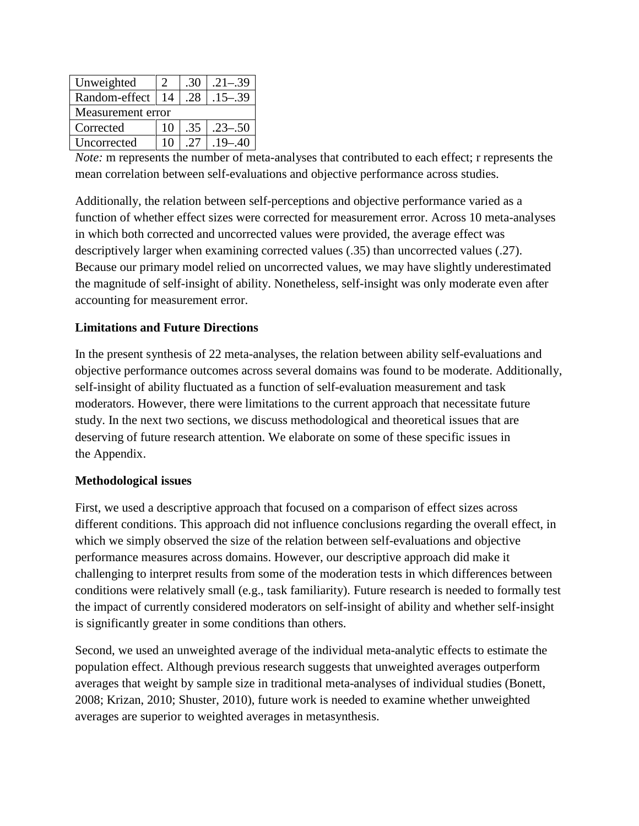| Unweighted                            |    | .30  | $.21 - .39$ |  |  |  |
|---------------------------------------|----|------|-------------|--|--|--|
| Random-effect                         | 14 | -28  | $.15 - .39$ |  |  |  |
| Measurement error                     |    |      |             |  |  |  |
| Corrected<br>$.23 - .50$<br>10<br>-35 |    |      |             |  |  |  |
| Uncorrected                           | 10 | - 77 | $19 - 40$   |  |  |  |

*Note:* m represents the number of meta-analyses that contributed to each effect; r represents the mean correlation between self-evaluations and objective performance across studies.

Additionally, the relation between self-perceptions and objective performance varied as a function of whether effect sizes were corrected for measurement error. Across 10 meta-analyses in which both corrected and uncorrected values were provided, the average effect was descriptively larger when examining corrected values (.35) than uncorrected values (.27). Because our primary model relied on uncorrected values, we may have slightly underestimated the magnitude of self-insight of ability. Nonetheless, self-insight was only moderate even after accounting for measurement error.

# **Limitations and Future Directions**

In the present synthesis of 22 meta-analyses, the relation between ability self-evaluations and objective performance outcomes across several domains was found to be moderate. Additionally, self-insight of ability fluctuated as a function of self-evaluation measurement and task moderators. However, there were limitations to the current approach that necessitate future study. In the next two sections, we discuss methodological and theoretical issues that are deserving of future research attention. We elaborate on some of these specific issues in the Appendix.

### **Methodological issues**

First, we used a descriptive approach that focused on a comparison of effect sizes across different conditions. This approach did not influence conclusions regarding the overall effect, in which we simply observed the size of the relation between self-evaluations and objective performance measures across domains. However, our descriptive approach did make it challenging to interpret results from some of the moderation tests in which differences between conditions were relatively small (e.g., task familiarity). Future research is needed to formally test the impact of currently considered moderators on self-insight of ability and whether self-insight is significantly greater in some conditions than others.

Second, we used an unweighted average of the individual meta-analytic effects to estimate the population effect. Although previous research suggests that unweighted averages outperform averages that weight by sample size in traditional meta-analyses of individual studies (Bonett, 2008; Krizan, 2010; Shuster, 2010), future work is needed to examine whether unweighted averages are superior to weighted averages in metasynthesis.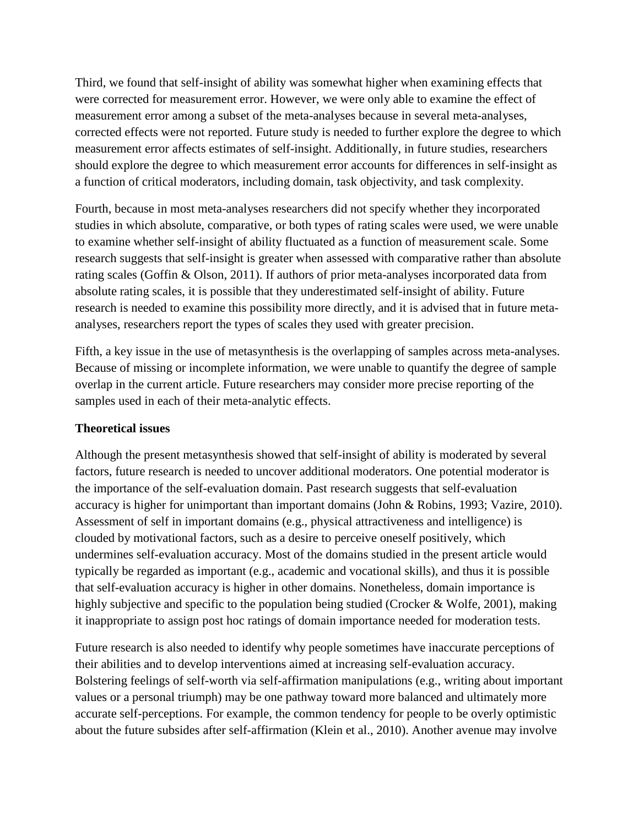Third, we found that self-insight of ability was somewhat higher when examining effects that were corrected for measurement error. However, we were only able to examine the effect of measurement error among a subset of the meta-analyses because in several meta-analyses, corrected effects were not reported. Future study is needed to further explore the degree to which measurement error affects estimates of self-insight. Additionally, in future studies, researchers should explore the degree to which measurement error accounts for differences in self-insight as a function of critical moderators, including domain, task objectivity, and task complexity.

Fourth, because in most meta-analyses researchers did not specify whether they incorporated studies in which absolute, comparative, or both types of rating scales were used, we were unable to examine whether self-insight of ability fluctuated as a function of measurement scale. Some research suggests that self-insight is greater when assessed with comparative rather than absolute rating scales (Goffin & Olson, 2011). If authors of prior meta-analyses incorporated data from absolute rating scales, it is possible that they underestimated self-insight of ability. Future research is needed to examine this possibility more directly, and it is advised that in future metaanalyses, researchers report the types of scales they used with greater precision.

Fifth, a key issue in the use of metasynthesis is the overlapping of samples across meta-analyses. Because of missing or incomplete information, we were unable to quantify the degree of sample overlap in the current article. Future researchers may consider more precise reporting of the samples used in each of their meta-analytic effects.

#### **Theoretical issues**

Although the present metasynthesis showed that self-insight of ability is moderated by several factors, future research is needed to uncover additional moderators. One potential moderator is the importance of the self-evaluation domain. Past research suggests that self-evaluation accuracy is higher for unimportant than important domains (John & Robins, 1993; Vazire, 2010). Assessment of self in important domains (e.g., physical attractiveness and intelligence) is clouded by motivational factors, such as a desire to perceive oneself positively, which undermines self-evaluation accuracy. Most of the domains studied in the present article would typically be regarded as important (e.g., academic and vocational skills), and thus it is possible that self-evaluation accuracy is higher in other domains. Nonetheless, domain importance is highly subjective and specific to the population being studied (Crocker & Wolfe, 2001), making it inappropriate to assign post hoc ratings of domain importance needed for moderation tests.

Future research is also needed to identify why people sometimes have inaccurate perceptions of their abilities and to develop interventions aimed at increasing self-evaluation accuracy. Bolstering feelings of self-worth via self-affirmation manipulations (e.g., writing about important values or a personal triumph) may be one pathway toward more balanced and ultimately more accurate self-perceptions. For example, the common tendency for people to be overly optimistic about the future subsides after self-affirmation (Klein et al., 2010). Another avenue may involve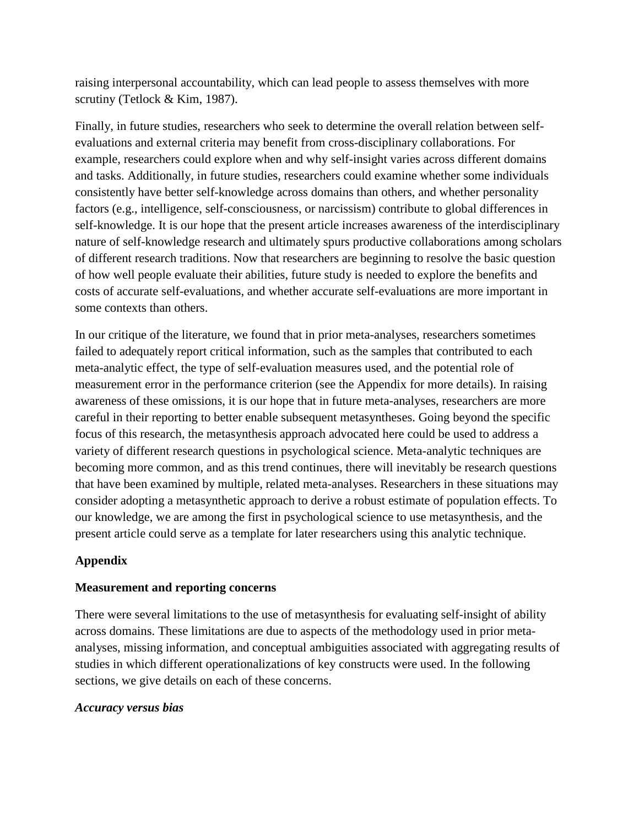raising interpersonal accountability, which can lead people to assess themselves with more scrutiny (Tetlock & Kim, 1987).

Finally, in future studies, researchers who seek to determine the overall relation between selfevaluations and external criteria may benefit from cross-disciplinary collaborations. For example, researchers could explore when and why self-insight varies across different domains and tasks. Additionally, in future studies, researchers could examine whether some individuals consistently have better self-knowledge across domains than others, and whether personality factors (e.g., intelligence, self-consciousness, or narcissism) contribute to global differences in self-knowledge. It is our hope that the present article increases awareness of the interdisciplinary nature of self-knowledge research and ultimately spurs productive collaborations among scholars of different research traditions. Now that researchers are beginning to resolve the basic question of how well people evaluate their abilities, future study is needed to explore the benefits and costs of accurate self-evaluations, and whether accurate self-evaluations are more important in some contexts than others.

In our critique of the literature, we found that in prior meta-analyses, researchers sometimes failed to adequately report critical information, such as the samples that contributed to each meta-analytic effect, the type of self-evaluation measures used, and the potential role of measurement error in the performance criterion (see the Appendix for more details). In raising awareness of these omissions, it is our hope that in future meta-analyses, researchers are more careful in their reporting to better enable subsequent metasyntheses. Going beyond the specific focus of this research, the metasynthesis approach advocated here could be used to address a variety of different research questions in psychological science. Meta-analytic techniques are becoming more common, and as this trend continues, there will inevitably be research questions that have been examined by multiple, related meta-analyses. Researchers in these situations may consider adopting a metasynthetic approach to derive a robust estimate of population effects. To our knowledge, we are among the first in psychological science to use metasynthesis, and the present article could serve as a template for later researchers using this analytic technique.

### **Appendix**

### **Measurement and reporting concerns**

There were several limitations to the use of metasynthesis for evaluating self-insight of ability across domains. These limitations are due to aspects of the methodology used in prior metaanalyses, missing information, and conceptual ambiguities associated with aggregating results of studies in which different operationalizations of key constructs were used. In the following sections, we give details on each of these concerns.

#### *Accuracy versus bias*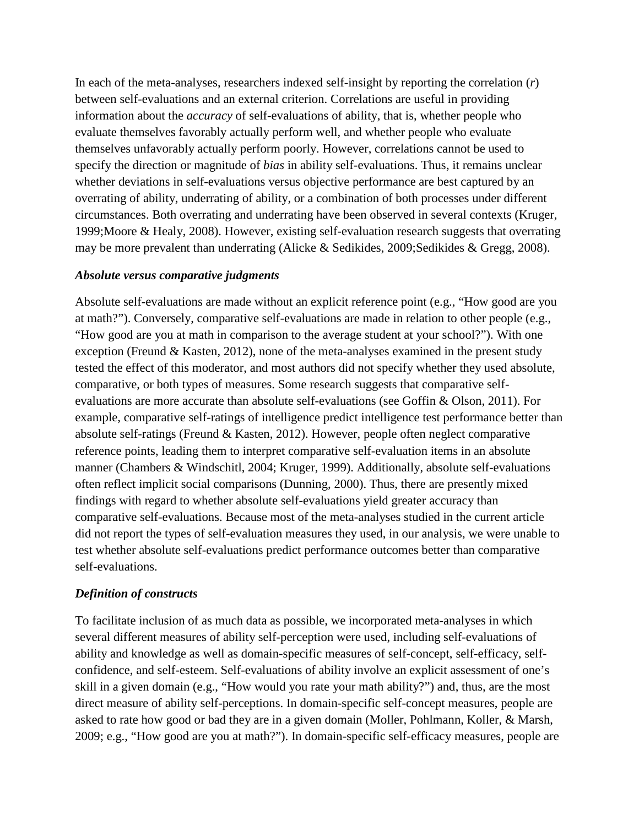In each of the meta-analyses, researchers indexed self-insight by reporting the correlation (*r*) between self-evaluations and an external criterion. Correlations are useful in providing information about the *accuracy* of self-evaluations of ability, that is, whether people who evaluate themselves favorably actually perform well, and whether people who evaluate themselves unfavorably actually perform poorly. However, correlations cannot be used to specify the direction or magnitude of *bias* in ability self-evaluations. Thus, it remains unclear whether deviations in self-evaluations versus objective performance are best captured by an overrating of ability, underrating of ability, or a combination of both processes under different circumstances. Both overrating and underrating have been observed in several contexts (Kruger, 1999;Moore & Healy, 2008). However, existing self-evaluation research suggests that overrating may be more prevalent than underrating (Alicke & Sedikides, 2009;Sedikides & Gregg, 2008).

#### *Absolute versus comparative judgments*

Absolute self-evaluations are made without an explicit reference point (e.g., "How good are you at math?"). Conversely, comparative self-evaluations are made in relation to other people (e.g., "How good are you at math in comparison to the average student at your school?"). With one exception (Freund & Kasten, 2012), none of the meta-analyses examined in the present study tested the effect of this moderator, and most authors did not specify whether they used absolute, comparative, or both types of measures. Some research suggests that comparative selfevaluations are more accurate than absolute self-evaluations (see Goffin & Olson, 2011). For example, comparative self-ratings of intelligence predict intelligence test performance better than absolute self-ratings (Freund & Kasten, 2012). However, people often neglect comparative reference points, leading them to interpret comparative self-evaluation items in an absolute manner (Chambers & Windschitl, 2004; Kruger, 1999). Additionally, absolute self-evaluations often reflect implicit social comparisons (Dunning, 2000). Thus, there are presently mixed findings with regard to whether absolute self-evaluations yield greater accuracy than comparative self-evaluations. Because most of the meta-analyses studied in the current article did not report the types of self-evaluation measures they used, in our analysis, we were unable to test whether absolute self-evaluations predict performance outcomes better than comparative self-evaluations.

#### *Definition of constructs*

To facilitate inclusion of as much data as possible, we incorporated meta-analyses in which several different measures of ability self-perception were used, including self-evaluations of ability and knowledge as well as domain-specific measures of self-concept, self-efficacy, selfconfidence, and self-esteem. Self-evaluations of ability involve an explicit assessment of one's skill in a given domain (e.g., "How would you rate your math ability?") and, thus, are the most direct measure of ability self-perceptions. In domain-specific self-concept measures, people are asked to rate how good or bad they are in a given domain (Moller, Pohlmann, Koller, & Marsh, 2009; e.g., "How good are you at math?"). In domain-specific self-efficacy measures, people are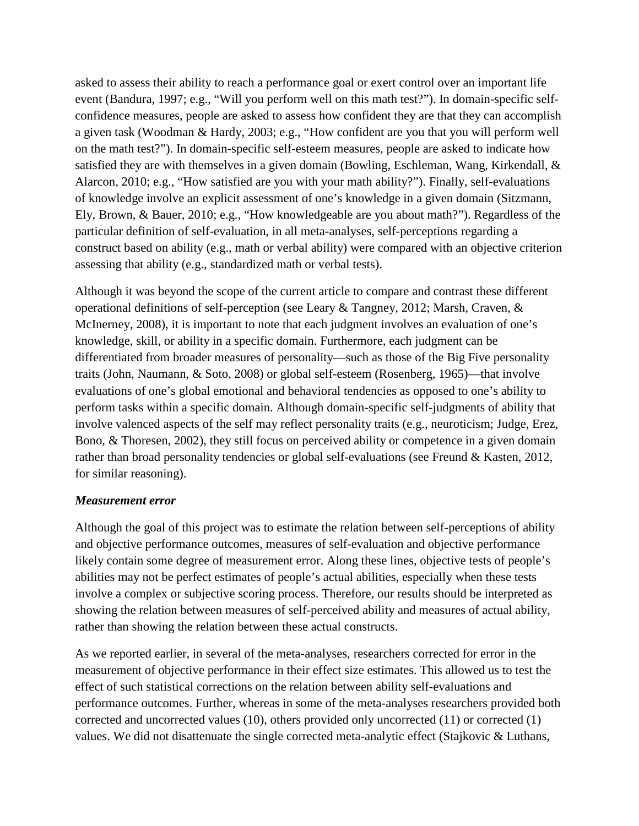asked to assess their ability to reach a performance goal or exert control over an important life event (Bandura, 1997; e.g., "Will you perform well on this math test?"). In domain-specific selfconfidence measures, people are asked to assess how confident they are that they can accomplish a given task (Woodman & Hardy, 2003; e.g., "How confident are you that you will perform well on the math test?"). In domain-specific self-esteem measures, people are asked to indicate how satisfied they are with themselves in a given domain (Bowling, Eschleman, Wang, Kirkendall, & Alarcon, 2010; e.g., "How satisfied are you with your math ability?"). Finally, self-evaluations of knowledge involve an explicit assessment of one's knowledge in a given domain (Sitzmann, Ely, Brown, & Bauer, 2010; e.g., "How knowledgeable are you about math?"). Regardless of the particular definition of self-evaluation, in all meta-analyses, self-perceptions regarding a construct based on ability (e.g., math or verbal ability) were compared with an objective criterion assessing that ability (e.g., standardized math or verbal tests).

Although it was beyond the scope of the current article to compare and contrast these different operational definitions of self-perception (see Leary & Tangney, 2012; Marsh, Craven, & McInerney, 2008), it is important to note that each judgment involves an evaluation of one's knowledge, skill, or ability in a specific domain. Furthermore, each judgment can be differentiated from broader measures of personality—such as those of the Big Five personality traits (John, Naumann, & Soto, 2008) or global self-esteem (Rosenberg, 1965)—that involve evaluations of one's global emotional and behavioral tendencies as opposed to one's ability to perform tasks within a specific domain. Although domain-specific self-judgments of ability that involve valenced aspects of the self may reflect personality traits (e.g., neuroticism; Judge, Erez, Bono, & Thoresen, 2002), they still focus on perceived ability or competence in a given domain rather than broad personality tendencies or global self-evaluations (see Freund & Kasten, 2012, for similar reasoning).

#### *Measurement error*

Although the goal of this project was to estimate the relation between self-perceptions of ability and objective performance outcomes, measures of self-evaluation and objective performance likely contain some degree of measurement error. Along these lines, objective tests of people's abilities may not be perfect estimates of people's actual abilities, especially when these tests involve a complex or subjective scoring process. Therefore, our results should be interpreted as showing the relation between measures of self-perceived ability and measures of actual ability, rather than showing the relation between these actual constructs.

As we reported earlier, in several of the meta-analyses, researchers corrected for error in the measurement of objective performance in their effect size estimates. This allowed us to test the effect of such statistical corrections on the relation between ability self-evaluations and performance outcomes. Further, whereas in some of the meta-analyses researchers provided both corrected and uncorrected values (10), others provided only uncorrected (11) or corrected (1) values. We did not disattenuate the single corrected meta-analytic effect (Stajkovic & Luthans,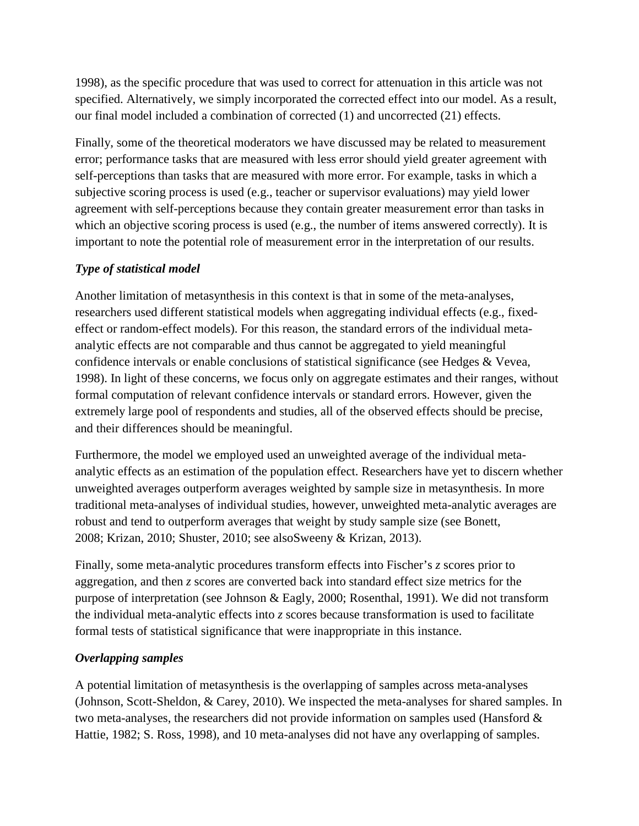1998), as the specific procedure that was used to correct for attenuation in this article was not specified. Alternatively, we simply incorporated the corrected effect into our model. As a result, our final model included a combination of corrected (1) and uncorrected (21) effects.

Finally, some of the theoretical moderators we have discussed may be related to measurement error; performance tasks that are measured with less error should yield greater agreement with self-perceptions than tasks that are measured with more error. For example, tasks in which a subjective scoring process is used (e.g., teacher or supervisor evaluations) may yield lower agreement with self-perceptions because they contain greater measurement error than tasks in which an objective scoring process is used (e.g., the number of items answered correctly). It is important to note the potential role of measurement error in the interpretation of our results.

# *Type of statistical model*

Another limitation of metasynthesis in this context is that in some of the meta-analyses, researchers used different statistical models when aggregating individual effects (e.g., fixedeffect or random-effect models). For this reason, the standard errors of the individual metaanalytic effects are not comparable and thus cannot be aggregated to yield meaningful confidence intervals or enable conclusions of statistical significance (see Hedges & Vevea, 1998). In light of these concerns, we focus only on aggregate estimates and their ranges, without formal computation of relevant confidence intervals or standard errors. However, given the extremely large pool of respondents and studies, all of the observed effects should be precise, and their differences should be meaningful.

Furthermore, the model we employed used an unweighted average of the individual metaanalytic effects as an estimation of the population effect. Researchers have yet to discern whether unweighted averages outperform averages weighted by sample size in metasynthesis. In more traditional meta-analyses of individual studies, however, unweighted meta-analytic averages are robust and tend to outperform averages that weight by study sample size (see Bonett, 2008; Krizan, 2010; Shuster, 2010; see alsoSweeny & Krizan, 2013).

Finally, some meta-analytic procedures transform effects into Fischer's *z* scores prior to aggregation, and then *z* scores are converted back into standard effect size metrics for the purpose of interpretation (see Johnson & Eagly, 2000; Rosenthal, 1991). We did not transform the individual meta-analytic effects into *z* scores because transformation is used to facilitate formal tests of statistical significance that were inappropriate in this instance.

# *Overlapping samples*

A potential limitation of metasynthesis is the overlapping of samples across meta-analyses (Johnson, Scott-Sheldon, & Carey, 2010). We inspected the meta-analyses for shared samples. In two meta-analyses, the researchers did not provide information on samples used (Hansford & Hattie, 1982; S. Ross, 1998), and 10 meta-analyses did not have any overlapping of samples.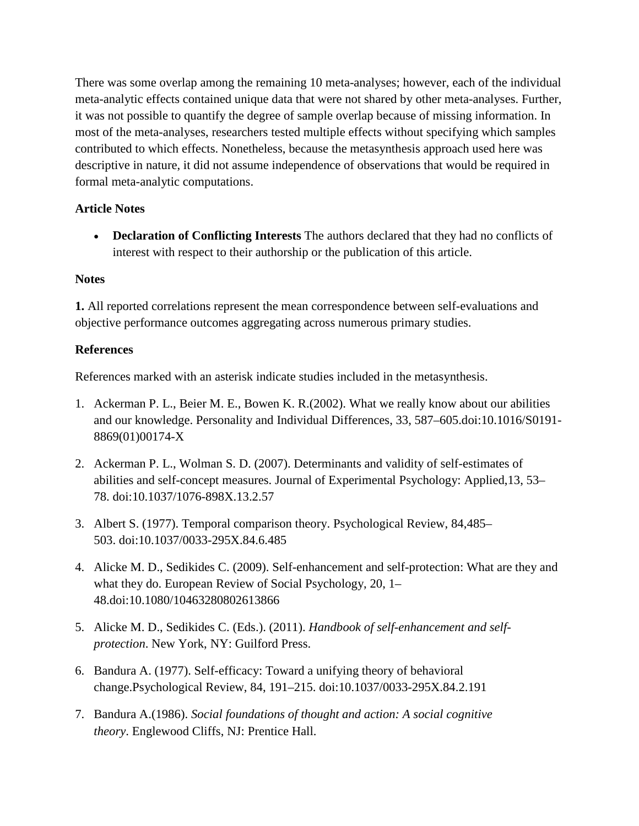There was some overlap among the remaining 10 meta-analyses; however, each of the individual meta-analytic effects contained unique data that were not shared by other meta-analyses. Further, it was not possible to quantify the degree of sample overlap because of missing information. In most of the meta-analyses, researchers tested multiple effects without specifying which samples contributed to which effects. Nonetheless, because the metasynthesis approach used here was descriptive in nature, it did not assume independence of observations that would be required in formal meta-analytic computations.

### **Article Notes**

• **Declaration of Conflicting Interests** The authors declared that they had no conflicts of interest with respect to their authorship or the publication of this article.

### **Notes**

**1.** All reported correlations represent the mean correspondence between self-evaluations and objective performance outcomes aggregating across numerous primary studies.

# **References**

References marked with an asterisk indicate studies included in the metasynthesis.

- 1. Ackerman P. L., Beier M. E., Bowen K. R.(2002). What we really know about our abilities and our knowledge. Personality and Individual Differences, 33, 587–605.doi:10.1016/S0191- 8869(01)00174-X
- 2. Ackerman P. L., Wolman S. D. (2007). Determinants and validity of self-estimates of abilities and self-concept measures. Journal of Experimental Psychology: Applied,13, 53– 78. doi:10.1037/1076-898X.13.2.57
- 3. Albert S. (1977). Temporal comparison theory. Psychological Review, 84,485– 503. doi:10.1037/0033-295X.84.6.485
- 4. Alicke M. D., Sedikides C. (2009). Self-enhancement and self-protection: What are they and what they do. European Review of Social Psychology, 20, 1– 48.doi:10.1080/10463280802613866
- 5. Alicke M. D., Sedikides C. (Eds.). (2011). *Handbook of self-enhancement and selfprotection*. New York, NY: Guilford Press.
- 6. Bandura A. (1977). Self-efficacy: Toward a unifying theory of behavioral change.Psychological Review, 84, 191–215. doi:10.1037/0033-295X.84.2.191
- 7. Bandura A.(1986). *Social foundations of thought and action: A social cognitive theory*. Englewood Cliffs, NJ: Prentice Hall.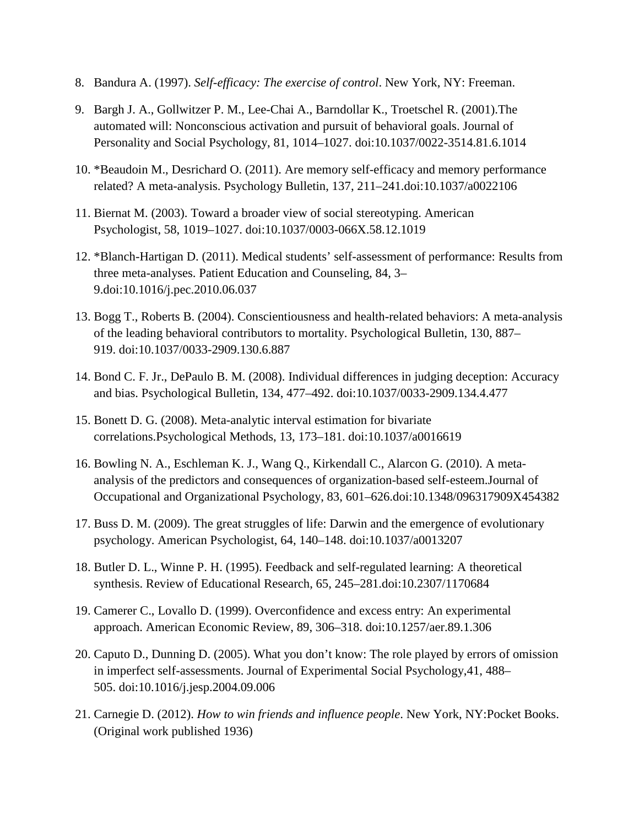- 8. Bandura A. (1997). *Self-efficacy: The exercise of control*. New York, NY: Freeman.
- 9. Bargh J. A., Gollwitzer P. M., Lee-Chai A., Barndollar K., Troetschel R. (2001).The automated will: Nonconscious activation and pursuit of behavioral goals. Journal of Personality and Social Psychology, 81, 1014–1027. doi:10.1037/0022-3514.81.6.1014
- 10. \*Beaudoin M., Desrichard O. (2011). Are memory self-efficacy and memory performance related? A meta-analysis. Psychology Bulletin, 137, 211–241.doi:10.1037/a0022106
- 11. Biernat M. (2003). Toward a broader view of social stereotyping. American Psychologist, 58, 1019–1027. doi:10.1037/0003-066X.58.12.1019
- 12. \*Blanch-Hartigan D. (2011). Medical students' self-assessment of performance: Results from three meta-analyses. Patient Education and Counseling, 84, 3– 9.doi:10.1016/j.pec.2010.06.037
- 13. Bogg T., Roberts B. (2004). Conscientiousness and health-related behaviors: A meta-analysis of the leading behavioral contributors to mortality. Psychological Bulletin, 130, 887– 919. doi:10.1037/0033-2909.130.6.887
- 14. Bond C. F. Jr., DePaulo B. M. (2008). Individual differences in judging deception: Accuracy and bias. Psychological Bulletin, 134, 477–492. doi:10.1037/0033-2909.134.4.477
- 15. Bonett D. G. (2008). Meta-analytic interval estimation for bivariate correlations.Psychological Methods, 13, 173–181. doi:10.1037/a0016619
- 16. Bowling N. A., Eschleman K. J., Wang Q., Kirkendall C., Alarcon G. (2010). A metaanalysis of the predictors and consequences of organization-based self-esteem.Journal of Occupational and Organizational Psychology, 83, 601–626.doi:10.1348/096317909X454382
- 17. Buss D. M. (2009). The great struggles of life: Darwin and the emergence of evolutionary psychology. American Psychologist, 64, 140–148. doi:10.1037/a0013207
- 18. Butler D. L., Winne P. H. (1995). Feedback and self-regulated learning: A theoretical synthesis. Review of Educational Research, 65, 245–281.doi:10.2307/1170684
- 19. Camerer C., Lovallo D. (1999). Overconfidence and excess entry: An experimental approach. American Economic Review, 89, 306–318. doi:10.1257/aer.89.1.306
- 20. Caputo D., Dunning D. (2005). What you don't know: The role played by errors of omission in imperfect self-assessments. Journal of Experimental Social Psychology,41, 488– 505. doi:10.1016/j.jesp.2004.09.006
- 21. Carnegie D. (2012). *How to win friends and influence people*. New York, NY:Pocket Books. (Original work published 1936)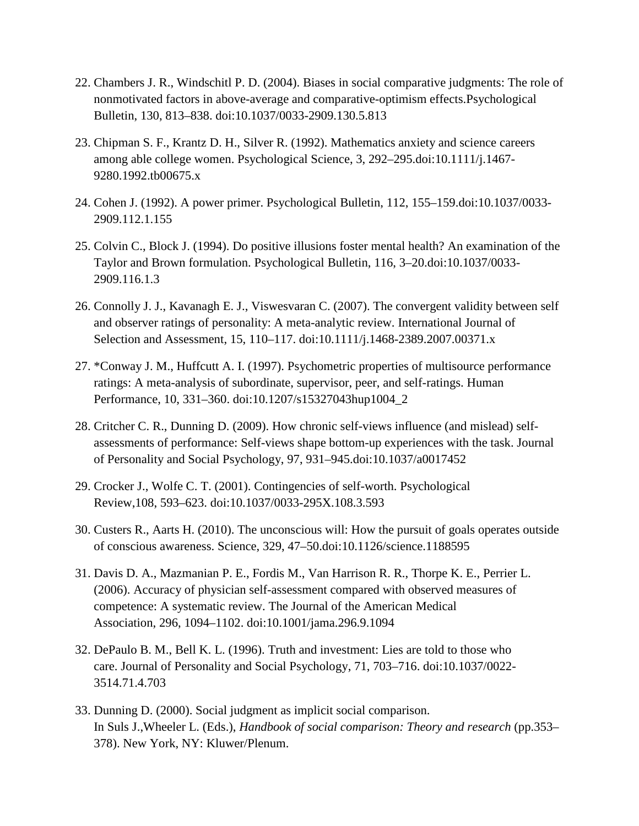- 22. Chambers J. R., Windschitl P. D. (2004). Biases in social comparative judgments: The role of nonmotivated factors in above-average and comparative-optimism effects.Psychological Bulletin, 130, 813–838. doi:10.1037/0033-2909.130.5.813
- 23. Chipman S. F., Krantz D. H., Silver R. (1992). Mathematics anxiety and science careers among able college women. Psychological Science, 3, 292–295.doi:10.1111/j.1467- 9280.1992.tb00675.x
- 24. Cohen J. (1992). A power primer. Psychological Bulletin, 112, 155–159.doi:10.1037/0033- 2909.112.1.155
- 25. Colvin C., Block J. (1994). Do positive illusions foster mental health? An examination of the Taylor and Brown formulation. Psychological Bulletin, 116, 3–20.doi:10.1037/0033- 2909.116.1.3
- 26. Connolly J. J., Kavanagh E. J., Viswesvaran C. (2007). The convergent validity between self and observer ratings of personality: A meta-analytic review. International Journal of Selection and Assessment, 15, 110–117. doi:10.1111/j.1468-2389.2007.00371.x
- 27. \*Conway J. M., Huffcutt A. I. (1997). Psychometric properties of multisource performance ratings: A meta-analysis of subordinate, supervisor, peer, and self-ratings. Human Performance, 10, 331–360. doi:10.1207/s15327043hup1004\_2
- 28. Critcher C. R., Dunning D. (2009). How chronic self-views influence (and mislead) selfassessments of performance: Self-views shape bottom-up experiences with the task. Journal of Personality and Social Psychology, 97, 931–945.doi:10.1037/a0017452
- 29. Crocker J., Wolfe C. T. (2001). Contingencies of self-worth. Psychological Review,108, 593–623. doi:10.1037/0033-295X.108.3.593
- 30. Custers R., Aarts H. (2010). The unconscious will: How the pursuit of goals operates outside of conscious awareness. Science, 329, 47–50.doi:10.1126/science.1188595
- 31. Davis D. A., Mazmanian P. E., Fordis M., Van Harrison R. R., Thorpe K. E., Perrier L. (2006). Accuracy of physician self-assessment compared with observed measures of competence: A systematic review. The Journal of the American Medical Association, 296, 1094–1102. doi:10.1001/jama.296.9.1094
- 32. DePaulo B. M., Bell K. L. (1996). Truth and investment: Lies are told to those who care. Journal of Personality and Social Psychology, 71, 703–716. doi:10.1037/0022- 3514.71.4.703
- 33. Dunning D. (2000). Social judgment as implicit social comparison. In Suls J.,Wheeler L. (Eds.), *Handbook of social comparison: Theory and research* (pp.353– 378). New York, NY: Kluwer/Plenum.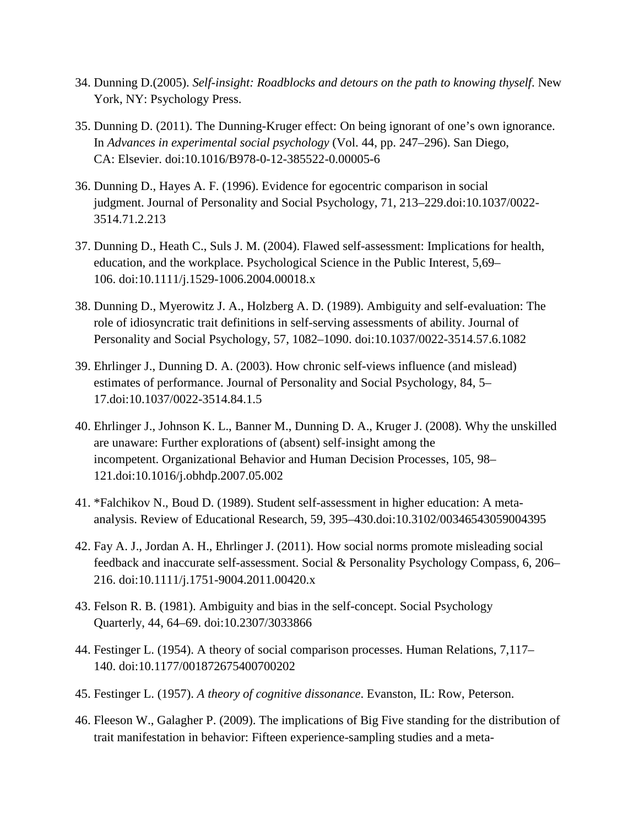- 34. Dunning D.(2005). *Self-insight: Roadblocks and detours on the path to knowing thyself*. New York, NY: Psychology Press.
- 35. Dunning D. (2011). The Dunning-Kruger effect: On being ignorant of one's own ignorance. In *Advances in experimental social psychology* (Vol. 44, pp. 247–296). San Diego, CA: Elsevier. doi:10.1016/B978-0-12-385522-0.00005-6
- 36. Dunning D., Hayes A. F. (1996). Evidence for egocentric comparison in social judgment. Journal of Personality and Social Psychology, 71, 213–229.doi:10.1037/0022- 3514.71.2.213
- 37. Dunning D., Heath C., Suls J. M. (2004). Flawed self-assessment: Implications for health, education, and the workplace. Psychological Science in the Public Interest, 5,69– 106. doi:10.1111/j.1529-1006.2004.00018.x
- 38. Dunning D., Myerowitz J. A., Holzberg A. D. (1989). Ambiguity and self-evaluation: The role of idiosyncratic trait definitions in self-serving assessments of ability. Journal of Personality and Social Psychology, 57, 1082–1090. doi:10.1037/0022-3514.57.6.1082
- 39. Ehrlinger J., Dunning D. A. (2003). How chronic self-views influence (and mislead) estimates of performance. Journal of Personality and Social Psychology, 84, 5– 17.doi:10.1037/0022-3514.84.1.5
- 40. Ehrlinger J., Johnson K. L., Banner M., Dunning D. A., Kruger J. (2008). Why the unskilled are unaware: Further explorations of (absent) self-insight among the incompetent. Organizational Behavior and Human Decision Processes, 105, 98– 121.doi:10.1016/j.obhdp.2007.05.002
- 41. \*Falchikov N., Boud D. (1989). Student self-assessment in higher education: A metaanalysis. Review of Educational Research, 59, 395–430.doi:10.3102/00346543059004395
- 42. Fay A. J., Jordan A. H., Ehrlinger J. (2011). How social norms promote misleading social feedback and inaccurate self-assessment. Social & Personality Psychology Compass, 6, 206– 216. doi:10.1111/j.1751-9004.2011.00420.x
- 43. Felson R. B. (1981). Ambiguity and bias in the self-concept. Social Psychology Quarterly, 44, 64–69. doi:10.2307/3033866
- 44. Festinger L. (1954). A theory of social comparison processes. Human Relations, 7,117– 140. doi:10.1177/001872675400700202
- 45. Festinger L. (1957). *A theory of cognitive dissonance*. Evanston, IL: Row, Peterson.
- 46. Fleeson W., Galagher P. (2009). The implications of Big Five standing for the distribution of trait manifestation in behavior: Fifteen experience-sampling studies and a meta-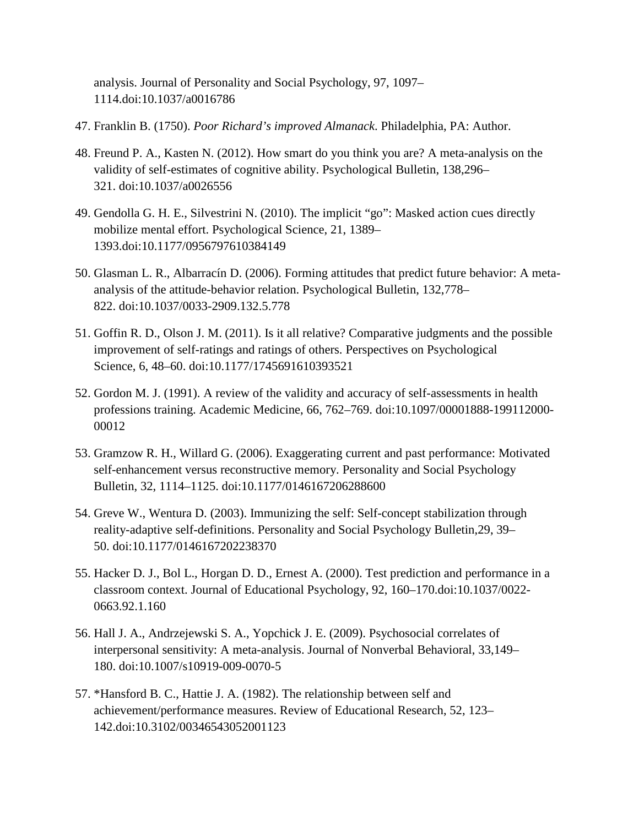analysis. Journal of Personality and Social Psychology, 97, 1097– 1114.doi:10.1037/a0016786

- 47. Franklin B. (1750). *Poor Richard's improved Almanack*. Philadelphia, PA: Author.
- 48. Freund P. A., Kasten N. (2012). How smart do you think you are? A meta-analysis on the validity of self-estimates of cognitive ability. Psychological Bulletin, 138,296– 321. doi:10.1037/a0026556
- 49. Gendolla G. H. E., Silvestrini N. (2010). The implicit "go": Masked action cues directly mobilize mental effort. Psychological Science, 21, 1389– 1393.doi:10.1177/0956797610384149
- 50. Glasman L. R., Albarracín D. (2006). Forming attitudes that predict future behavior: A metaanalysis of the attitude-behavior relation. Psychological Bulletin, 132,778– 822. doi:10.1037/0033-2909.132.5.778
- 51. Goffin R. D., Olson J. M. (2011). Is it all relative? Comparative judgments and the possible improvement of self-ratings and ratings of others. Perspectives on Psychological Science, 6, 48–60. doi:10.1177/1745691610393521
- 52. Gordon M. J. (1991). A review of the validity and accuracy of self-assessments in health professions training. Academic Medicine, 66, 762–769. doi:10.1097/00001888-199112000- 00012
- 53. Gramzow R. H., Willard G. (2006). Exaggerating current and past performance: Motivated self-enhancement versus reconstructive memory. Personality and Social Psychology Bulletin, 32, 1114–1125. doi:10.1177/0146167206288600
- 54. Greve W., Wentura D. (2003). Immunizing the self: Self-concept stabilization through reality-adaptive self-definitions. Personality and Social Psychology Bulletin,29, 39– 50. doi:10.1177/0146167202238370
- 55. Hacker D. J., Bol L., Horgan D. D., Ernest A. (2000). Test prediction and performance in a classroom context. Journal of Educational Psychology, 92, 160–170.doi:10.1037/0022- 0663.92.1.160
- 56. Hall J. A., Andrzejewski S. A., Yopchick J. E. (2009). Psychosocial correlates of interpersonal sensitivity: A meta-analysis. Journal of Nonverbal Behavioral, 33,149– 180. doi:10.1007/s10919-009-0070-5
- 57. \*Hansford B. C., Hattie J. A. (1982). The relationship between self and achievement/performance measures. Review of Educational Research, 52, 123– 142.doi:10.3102/00346543052001123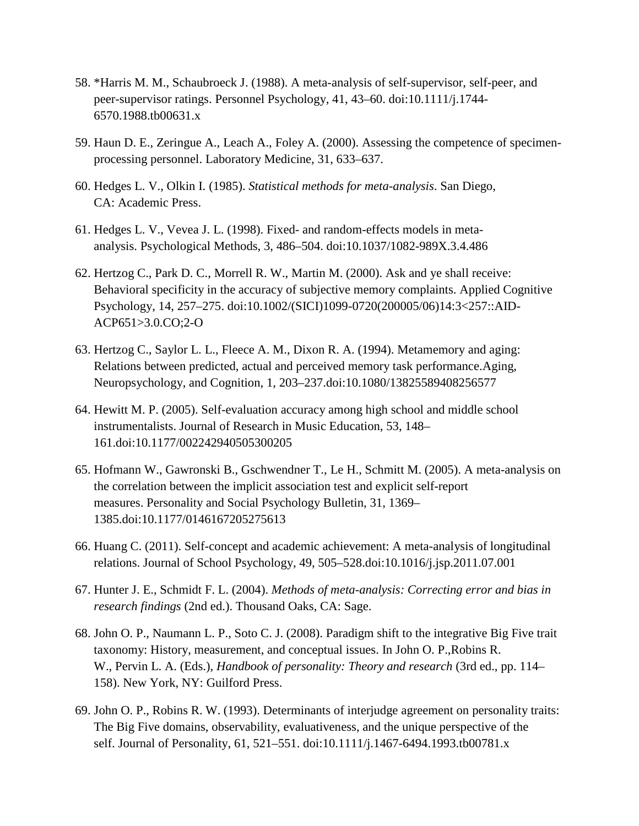- 58. \*Harris M. M., Schaubroeck J. (1988). A meta-analysis of self-supervisor, self-peer, and peer-supervisor ratings. Personnel Psychology, 41, 43–60. doi:10.1111/j.1744- 6570.1988.tb00631.x
- 59. Haun D. E., Zeringue A., Leach A., Foley A. (2000). Assessing the competence of specimenprocessing personnel. Laboratory Medicine, 31, 633–637.
- 60. Hedges L. V., Olkin I. (1985). *Statistical methods for meta-analysis*. San Diego, CA: Academic Press.
- 61. Hedges L. V., Vevea J. L. (1998). Fixed- and random-effects models in metaanalysis. Psychological Methods, 3, 486–504. doi:10.1037/1082-989X.3.4.486
- 62. Hertzog C., Park D. C., Morrell R. W., Martin M. (2000). Ask and ye shall receive: Behavioral specificity in the accuracy of subjective memory complaints. Applied Cognitive Psychology, 14, 257–275. doi:10.1002/(SICI)1099-0720(200005/06)14:3<257::AID-ACP651>3.0.CO;2-O
- 63. Hertzog C., Saylor L. L., Fleece A. M., Dixon R. A. (1994). Metamemory and aging: Relations between predicted, actual and perceived memory task performance.Aging, Neuropsychology, and Cognition, 1, 203–237.doi:10.1080/13825589408256577
- 64. Hewitt M. P. (2005). Self-evaluation accuracy among high school and middle school instrumentalists. Journal of Research in Music Education, 53, 148– 161.doi:10.1177/002242940505300205
- 65. Hofmann W., Gawronski B., Gschwendner T., Le H., Schmitt M. (2005). A meta-analysis on the correlation between the implicit association test and explicit self-report measures. Personality and Social Psychology Bulletin, 31, 1369– 1385.doi:10.1177/0146167205275613
- 66. Huang C. (2011). Self-concept and academic achievement: A meta-analysis of longitudinal relations. Journal of School Psychology, 49, 505–528.doi:10.1016/j.jsp.2011.07.001
- 67. Hunter J. E., Schmidt F. L. (2004). *Methods of meta-analysis: Correcting error and bias in research findings* (2nd ed.). Thousand Oaks, CA: Sage.
- 68. John O. P., Naumann L. P., Soto C. J. (2008). Paradigm shift to the integrative Big Five trait taxonomy: History, measurement, and conceptual issues. In John O. P.,Robins R. W., Pervin L. A. (Eds.), *Handbook of personality: Theory and research* (3rd ed., pp. 114– 158). New York, NY: Guilford Press.
- 69. John O. P., Robins R. W. (1993). Determinants of interjudge agreement on personality traits: The Big Five domains, observability, evaluativeness, and the unique perspective of the self. Journal of Personality, 61, 521–551. doi:10.1111/j.1467-6494.1993.tb00781.x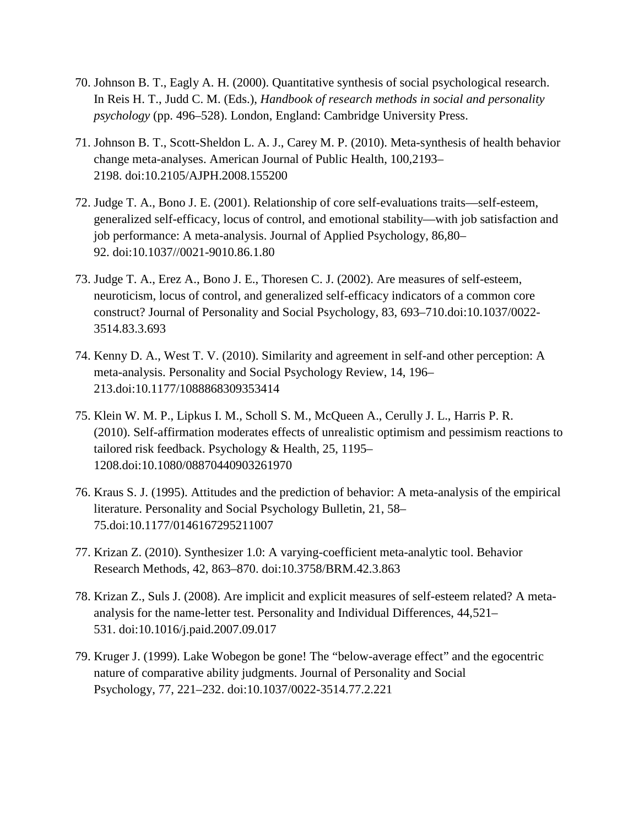- 70. Johnson B. T., Eagly A. H. (2000). Quantitative synthesis of social psychological research. In Reis H. T., Judd C. M. (Eds.), *Handbook of research methods in social and personality psychology* (pp. 496–528). London, England: Cambridge University Press.
- 71. Johnson B. T., Scott-Sheldon L. A. J., Carey M. P. (2010). Meta-synthesis of health behavior change meta-analyses. American Journal of Public Health, 100,2193– 2198. doi:10.2105/AJPH.2008.155200
- 72. Judge T. A., Bono J. E. (2001). Relationship of core self-evaluations traits—self-esteem, generalized self-efficacy, locus of control, and emotional stability—with job satisfaction and job performance: A meta-analysis. Journal of Applied Psychology, 86,80– 92. doi:10.1037//0021-9010.86.1.80
- 73. Judge T. A., Erez A., Bono J. E., Thoresen C. J. (2002). Are measures of self-esteem, neuroticism, locus of control, and generalized self-efficacy indicators of a common core construct? Journal of Personality and Social Psychology, 83, 693–710.doi:10.1037/0022- 3514.83.3.693
- 74. Kenny D. A., West T. V. (2010). Similarity and agreement in self-and other perception: A meta-analysis. Personality and Social Psychology Review, 14, 196– 213.doi:10.1177/1088868309353414
- 75. Klein W. M. P., Lipkus I. M., Scholl S. M., McQueen A., Cerully J. L., Harris P. R. (2010). Self-affirmation moderates effects of unrealistic optimism and pessimism reactions to tailored risk feedback. Psychology & Health, 25, 1195– 1208.doi:10.1080/08870440903261970
- 76. Kraus S. J. (1995). Attitudes and the prediction of behavior: A meta-analysis of the empirical literature. Personality and Social Psychology Bulletin, 21, 58– 75.doi:10.1177/0146167295211007
- 77. Krizan Z. (2010). Synthesizer 1.0: A varying-coefficient meta-analytic tool. Behavior Research Methods, 42, 863–870. doi:10.3758/BRM.42.3.863
- 78. Krizan Z., Suls J. (2008). Are implicit and explicit measures of self-esteem related? A metaanalysis for the name-letter test. Personality and Individual Differences, 44,521– 531. doi:10.1016/j.paid.2007.09.017
- 79. Kruger J. (1999). Lake Wobegon be gone! The "below-average effect" and the egocentric nature of comparative ability judgments. Journal of Personality and Social Psychology, 77, 221–232. doi:10.1037/0022-3514.77.2.221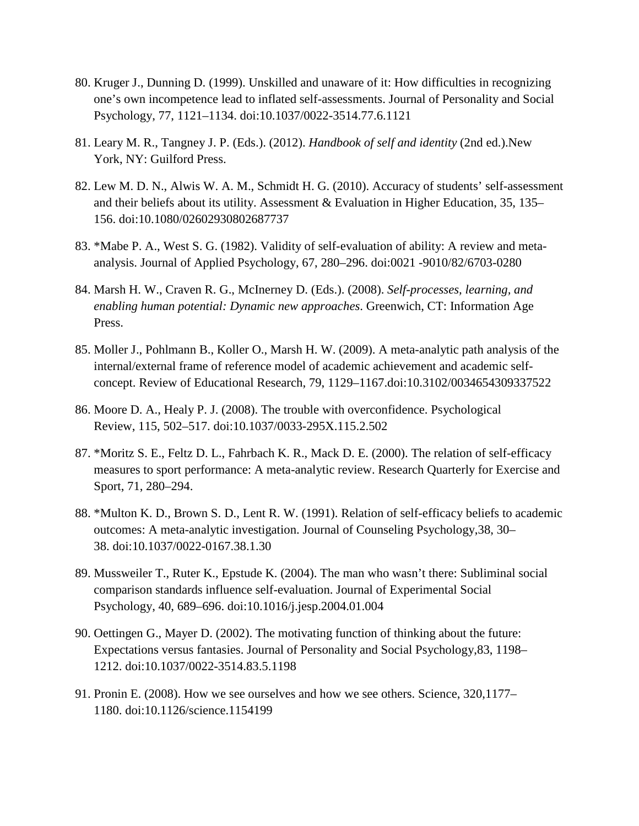- 80. Kruger J., Dunning D. (1999). Unskilled and unaware of it: How difficulties in recognizing one's own incompetence lead to inflated self-assessments. Journal of Personality and Social Psychology, 77, 1121–1134. doi:10.1037/0022-3514.77.6.1121
- 81. Leary M. R., Tangney J. P. (Eds.). (2012). *Handbook of self and identity* (2nd ed.).New York, NY: Guilford Press.
- 82. Lew M. D. N., Alwis W. A. M., Schmidt H. G. (2010). Accuracy of students' self-assessment and their beliefs about its utility. Assessment & Evaluation in Higher Education, 35, 135– 156. doi:10.1080/02602930802687737
- 83. \*Mabe P. A., West S. G. (1982). Validity of self-evaluation of ability: A review and metaanalysis. Journal of Applied Psychology, 67, 280–296. doi:0021 -9010/82/6703-0280
- 84. Marsh H. W., Craven R. G., McInerney D. (Eds.). (2008). *Self-processes, learning, and enabling human potential: Dynamic new approaches*. Greenwich, CT: Information Age Press.
- 85. Moller J., Pohlmann B., Koller O., Marsh H. W. (2009). A meta-analytic path analysis of the internal/external frame of reference model of academic achievement and academic selfconcept. Review of Educational Research, 79, 1129–1167.doi:10.3102/0034654309337522
- 86. Moore D. A., Healy P. J. (2008). The trouble with overconfidence. Psychological Review, 115, 502–517. doi:10.1037/0033-295X.115.2.502
- 87. \*Moritz S. E., Feltz D. L., Fahrbach K. R., Mack D. E. (2000). The relation of self-efficacy measures to sport performance: A meta-analytic review. Research Quarterly for Exercise and Sport, 71, 280–294.
- 88. \*Multon K. D., Brown S. D., Lent R. W. (1991). Relation of self-efficacy beliefs to academic outcomes: A meta-analytic investigation. Journal of Counseling Psychology,38, 30– 38. doi:10.1037/0022-0167.38.1.30
- 89. Mussweiler T., Ruter K., Epstude K. (2004). The man who wasn't there: Subliminal social comparison standards influence self-evaluation. Journal of Experimental Social Psychology, 40, 689–696. doi:10.1016/j.jesp.2004.01.004
- 90. Oettingen G., Mayer D. (2002). The motivating function of thinking about the future: Expectations versus fantasies. Journal of Personality and Social Psychology,83, 1198– 1212. doi:10.1037/0022-3514.83.5.1198
- 91. Pronin E. (2008). How we see ourselves and how we see others. Science, 320,1177– 1180. doi:10.1126/science.1154199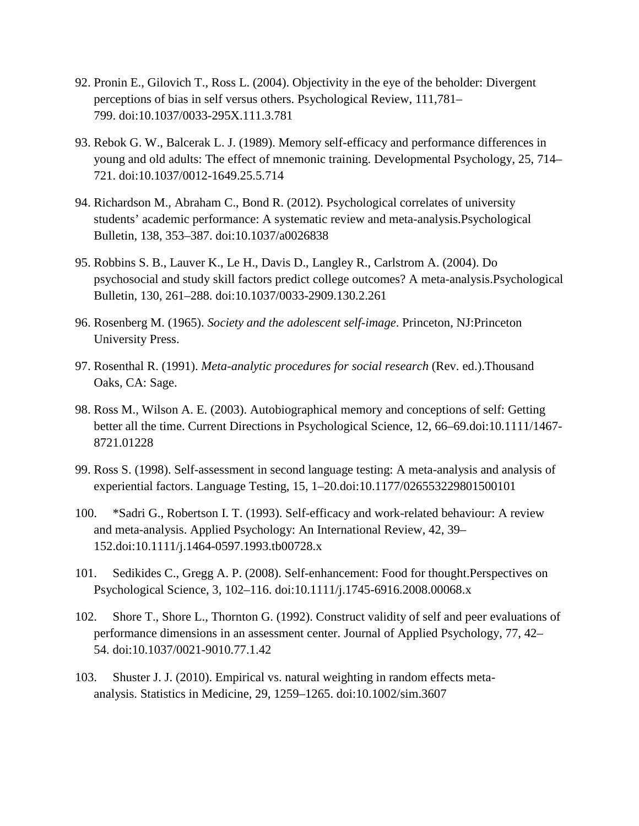- 92. Pronin E., Gilovich T., Ross L. (2004). Objectivity in the eye of the beholder: Divergent perceptions of bias in self versus others. Psychological Review, 111,781– 799. doi:10.1037/0033-295X.111.3.781
- 93. Rebok G. W., Balcerak L. J. (1989). Memory self-efficacy and performance differences in young and old adults: The effect of mnemonic training. Developmental Psychology, 25, 714– 721. doi:10.1037/0012-1649.25.5.714
- 94. Richardson M., Abraham C., Bond R. (2012). Psychological correlates of university students' academic performance: A systematic review and meta-analysis.Psychological Bulletin, 138, 353–387. doi:10.1037/a0026838
- 95. Robbins S. B., Lauver K., Le H., Davis D., Langley R., Carlstrom A. (2004). Do psychosocial and study skill factors predict college outcomes? A meta-analysis.Psychological Bulletin, 130, 261–288. doi:10.1037/0033-2909.130.2.261
- 96. Rosenberg M. (1965). *Society and the adolescent self-image*. Princeton, NJ:Princeton University Press.
- 97. Rosenthal R. (1991). *Meta-analytic procedures for social research* (Rev. ed.).Thousand Oaks, CA: Sage.
- 98. Ross M., Wilson A. E. (2003). Autobiographical memory and conceptions of self: Getting better all the time. Current Directions in Psychological Science, 12, 66–69.doi:10.1111/1467- 8721.01228
- 99. Ross S. (1998). Self-assessment in second language testing: A meta-analysis and analysis of experiential factors. Language Testing, 15, 1–20.doi:10.1177/026553229801500101
- 100. \*Sadri G., Robertson I. T. (1993). Self-efficacy and work-related behaviour: A review and meta-analysis. Applied Psychology: An International Review, 42, 39– 152.doi:10.1111/j.1464-0597.1993.tb00728.x
- 101. Sedikides C., Gregg A. P. (2008). Self-enhancement: Food for thought.Perspectives on Psychological Science, 3, 102–116. doi:10.1111/j.1745-6916.2008.00068.x
- 102. Shore T., Shore L., Thornton G. (1992). Construct validity of self and peer evaluations of performance dimensions in an assessment center. Journal of Applied Psychology, 77, 42– 54. doi:10.1037/0021-9010.77.1.42
- 103. Shuster J. J. (2010). Empirical vs. natural weighting in random effects metaanalysis. Statistics in Medicine, 29, 1259–1265. doi:10.1002/sim.3607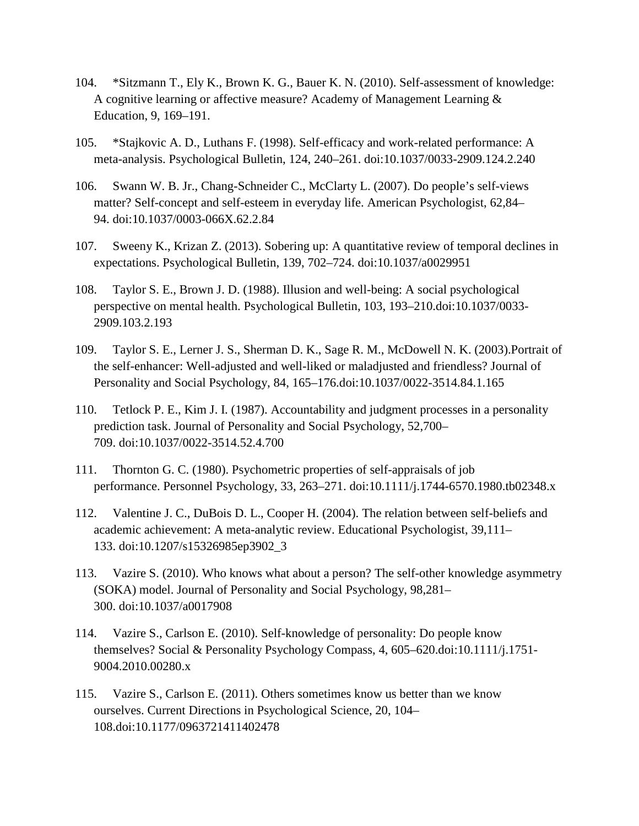- 104. \*Sitzmann T., Ely K., Brown K. G., Bauer K. N. (2010). Self-assessment of knowledge: A cognitive learning or affective measure? Academy of Management Learning & Education, 9, 169–191.
- 105. \*Stajkovic A. D., Luthans F. (1998). Self-efficacy and work-related performance: A meta-analysis. Psychological Bulletin, 124, 240–261. doi:10.1037/0033-2909.124.2.240
- 106. Swann W. B. Jr., Chang-Schneider C., McClarty L. (2007). Do people's self-views matter? Self-concept and self-esteem in everyday life. American Psychologist, 62,84– 94. doi:10.1037/0003-066X.62.2.84
- 107. Sweeny K., Krizan Z. (2013). Sobering up: A quantitative review of temporal declines in expectations. Psychological Bulletin, 139, 702–724. doi:10.1037/a0029951
- 108. Taylor S. E., Brown J. D. (1988). Illusion and well-being: A social psychological perspective on mental health. Psychological Bulletin, 103, 193–210.doi:10.1037/0033- 2909.103.2.193
- 109. Taylor S. E., Lerner J. S., Sherman D. K., Sage R. M., McDowell N. K. (2003).Portrait of the self-enhancer: Well-adjusted and well-liked or maladjusted and friendless? Journal of Personality and Social Psychology, 84, 165–176.doi:10.1037/0022-3514.84.1.165
- 110. Tetlock P. E., Kim J. I. (1987). Accountability and judgment processes in a personality prediction task. Journal of Personality and Social Psychology, 52,700– 709. doi:10.1037/0022-3514.52.4.700
- 111. Thornton G. C. (1980). Psychometric properties of self-appraisals of job performance. Personnel Psychology, 33, 263–271. doi:10.1111/j.1744-6570.1980.tb02348.x
- 112. Valentine J. C., DuBois D. L., Cooper H. (2004). The relation between self-beliefs and academic achievement: A meta-analytic review. Educational Psychologist, 39,111– 133. doi:10.1207/s15326985ep3902\_3
- 113. Vazire S. (2010). Who knows what about a person? The self-other knowledge asymmetry (SOKA) model. Journal of Personality and Social Psychology, 98,281– 300. doi:10.1037/a0017908
- 114. Vazire S., Carlson E. (2010). Self-knowledge of personality: Do people know themselves? Social & Personality Psychology Compass, 4, 605–620.doi:10.1111/j.1751- 9004.2010.00280.x
- 115. Vazire S., Carlson E. (2011). Others sometimes know us better than we know ourselves. Current Directions in Psychological Science, 20, 104– 108.doi:10.1177/0963721411402478